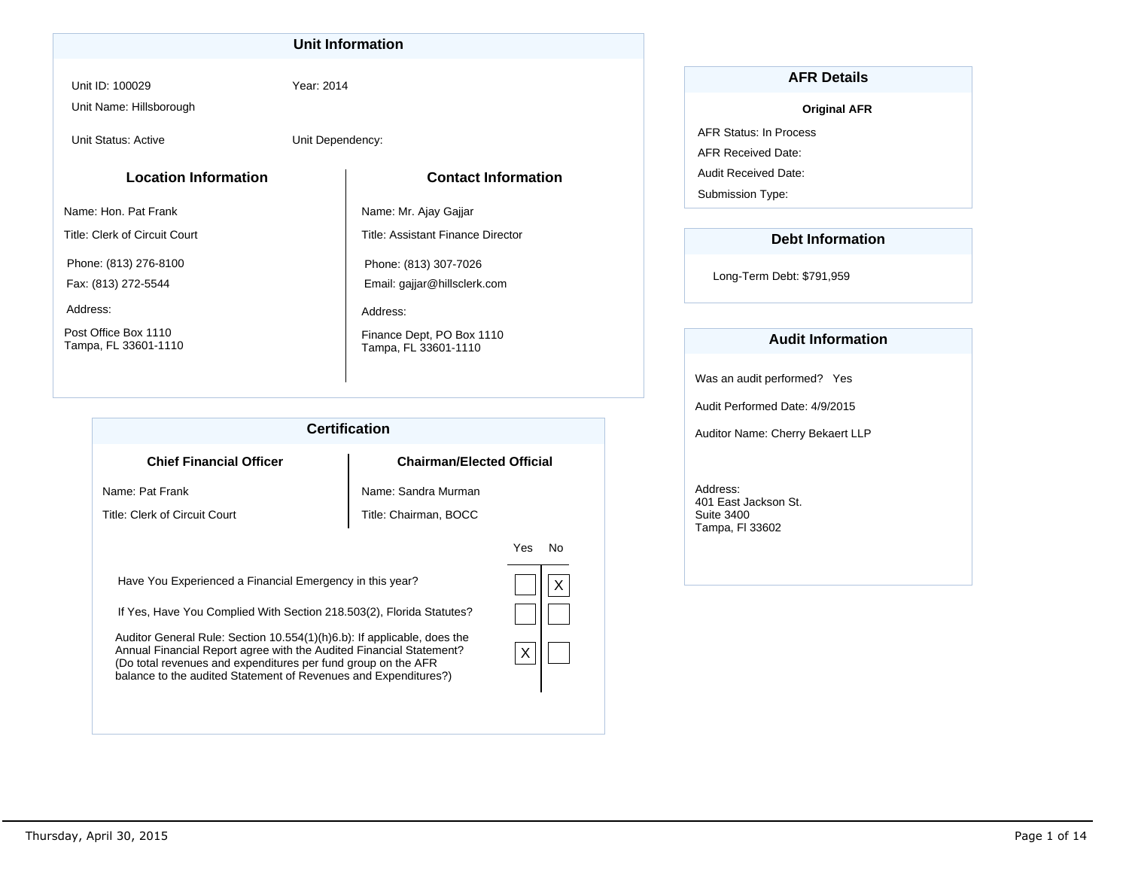### **Unit Information**

Unit ID: 100029

Unit Name: Hillsborough

Unit Status: Active

Unit Dependency:

Year: 2014

## **Location Information**

**Contact Information**

Title: Clerk of Circuit Court

Phone: (813) 276-8100

Name: Hon. Pat Frank

Fax: (813) 272-5544

Address:

Post Office Box 1110 Tampa, FL 33601-1110

| Name: Mr. Ajay Gajjar                                 |
|-------------------------------------------------------|
| Title: Assistant Finance Director                     |
| Phone: (813) 307-7026<br>Email: gajjar@hillsclerk.com |
| Address:                                              |
| Finance Dept, PO Box 1110<br>Tampa, FL 33601-1110     |

|                                                                                                                                                                                                                                                                                    | <b>Certification</b>             |  |
|------------------------------------------------------------------------------------------------------------------------------------------------------------------------------------------------------------------------------------------------------------------------------------|----------------------------------|--|
| <b>Chief Financial Officer</b>                                                                                                                                                                                                                                                     | <b>Chairman/Elected Official</b> |  |
| Name: Pat Frank                                                                                                                                                                                                                                                                    | Name: Sandra Murman              |  |
| Title: Clerk of Circuit Court                                                                                                                                                                                                                                                      | Title: Chairman, BOCC            |  |
|                                                                                                                                                                                                                                                                                    | Yes<br>N٥                        |  |
| Have You Experienced a Financial Emergency in this year?                                                                                                                                                                                                                           |                                  |  |
| If Yes, Have You Complied With Section 218.503(2), Florida Statutes?                                                                                                                                                                                                               |                                  |  |
| Auditor General Rule: Section 10.554(1)(h)6.b): If applicable, does the<br>Annual Financial Report agree with the Audited Financial Statement?<br>(Do total revenues and expenditures per fund group on the AFR<br>balance to the audited Statement of Revenues and Expenditures?) | X                                |  |
|                                                                                                                                                                                                                                                                                    |                                  |  |
|                                                                                                                                                                                                                                                                                    |                                  |  |

## **AFR Details**

#### **Original AFR**

Audit Received Date: AFR Received Date: AFR Status: In Process Submission Type:

## **Debt Information**

Long-Term Debt: \$791,959

### **Audit Information**

Was an audit performed? Yes

Audit Performed Date: 4/9/2015

Auditor Name: Cherry Bekaert LLP

Address: 401 East Jackson St. Suite 3400 Tampa, Fl 33602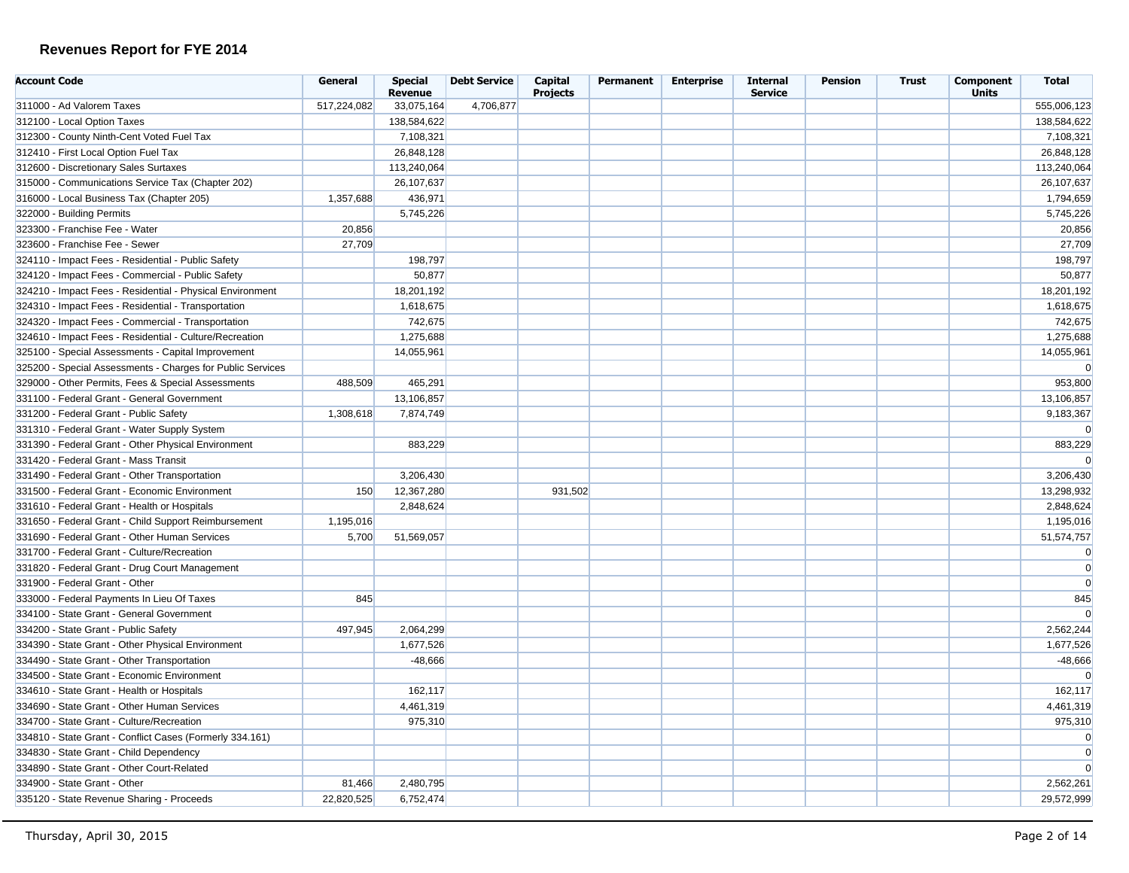# **Revenues Report for FYE 2014**

| <b>Account Code</b>                                        | General     | <b>Special</b><br>Revenue | <b>Debt Service</b> | Capital<br><b>Projects</b> | Permanent | <b>Enterprise</b> | <b>Internal</b><br><b>Service</b> | Pension | <b>Trust</b> | Component<br><b>Units</b> | Total       |
|------------------------------------------------------------|-------------|---------------------------|---------------------|----------------------------|-----------|-------------------|-----------------------------------|---------|--------------|---------------------------|-------------|
| 311000 - Ad Valorem Taxes                                  | 517,224,082 | 33,075,164                | 4,706,877           |                            |           |                   |                                   |         |              |                           | 555,006,123 |
| 312100 - Local Option Taxes                                |             | 138,584,622               |                     |                            |           |                   |                                   |         |              |                           | 138,584,622 |
| 312300 - County Ninth-Cent Voted Fuel Tax                  |             | 7,108,321                 |                     |                            |           |                   |                                   |         |              |                           | 7,108,321   |
| 312410 - First Local Option Fuel Tax                       |             | 26,848,128                |                     |                            |           |                   |                                   |         |              |                           | 26,848,128  |
| 312600 - Discretionary Sales Surtaxes                      |             | 113,240,064               |                     |                            |           |                   |                                   |         |              |                           | 113,240,064 |
| 315000 - Communications Service Tax (Chapter 202)          |             | 26,107,637                |                     |                            |           |                   |                                   |         |              |                           | 26,107,637  |
| 316000 - Local Business Tax (Chapter 205)                  | 1,357,688   | 436,971                   |                     |                            |           |                   |                                   |         |              |                           | 1,794,659   |
| 322000 - Building Permits                                  |             | 5,745,226                 |                     |                            |           |                   |                                   |         |              |                           | 5,745,226   |
| 323300 - Franchise Fee - Water                             | 20,856      |                           |                     |                            |           |                   |                                   |         |              |                           | 20,856      |
| 323600 - Franchise Fee - Sewer                             | 27,709      |                           |                     |                            |           |                   |                                   |         |              |                           | 27,709      |
| 324110 - Impact Fees - Residential - Public Safety         |             | 198,797                   |                     |                            |           |                   |                                   |         |              |                           | 198,797     |
| 324120 - Impact Fees - Commercial - Public Safety          |             | 50,877                    |                     |                            |           |                   |                                   |         |              |                           | 50,877      |
| 324210 - Impact Fees - Residential - Physical Environment  |             | 18,201,192                |                     |                            |           |                   |                                   |         |              |                           | 18,201,192  |
| 324310 - Impact Fees - Residential - Transportation        |             | 1,618,675                 |                     |                            |           |                   |                                   |         |              |                           | 1,618,675   |
| 324320 - Impact Fees - Commercial - Transportation         |             | 742,675                   |                     |                            |           |                   |                                   |         |              |                           | 742,675     |
| 324610 - Impact Fees - Residential - Culture/Recreation    |             | 1,275,688                 |                     |                            |           |                   |                                   |         |              |                           | 1,275,688   |
| 325100 - Special Assessments - Capital Improvement         |             | 14,055,961                |                     |                            |           |                   |                                   |         |              |                           | 14,055,961  |
| 325200 - Special Assessments - Charges for Public Services |             |                           |                     |                            |           |                   |                                   |         |              |                           | $\mathbf 0$ |
| 329000 - Other Permits, Fees & Special Assessments         | 488,509     | 465,291                   |                     |                            |           |                   |                                   |         |              |                           | 953,800     |
| 331100 - Federal Grant - General Government                |             | 13,106,857                |                     |                            |           |                   |                                   |         |              |                           | 13,106,857  |
| 331200 - Federal Grant - Public Safety                     | 1,308,618   | 7,874,749                 |                     |                            |           |                   |                                   |         |              |                           | 9,183,367   |
| 331310 - Federal Grant - Water Supply System               |             |                           |                     |                            |           |                   |                                   |         |              |                           | $\mathbf 0$ |
| 331390 - Federal Grant - Other Physical Environment        |             | 883,229                   |                     |                            |           |                   |                                   |         |              |                           | 883,229     |
| 331420 - Federal Grant - Mass Transit                      |             |                           |                     |                            |           |                   |                                   |         |              |                           | $\mathbf 0$ |
| 331490 - Federal Grant - Other Transportation              |             | 3,206,430                 |                     |                            |           |                   |                                   |         |              |                           | 3,206,430   |
| 331500 - Federal Grant - Economic Environment              | 150         | 12,367,280                |                     | 931,502                    |           |                   |                                   |         |              |                           | 13,298,932  |
| 331610 - Federal Grant - Health or Hospitals               |             | 2,848,624                 |                     |                            |           |                   |                                   |         |              |                           | 2,848,624   |
| 331650 - Federal Grant - Child Support Reimbursement       | 1,195,016   |                           |                     |                            |           |                   |                                   |         |              |                           | 1,195,016   |
| 331690 - Federal Grant - Other Human Services              | 5,700       | 51,569,057                |                     |                            |           |                   |                                   |         |              |                           | 51,574,757  |
| 331700 - Federal Grant - Culture/Recreation                |             |                           |                     |                            |           |                   |                                   |         |              |                           | $\mathbf 0$ |
| 331820 - Federal Grant - Drug Court Management             |             |                           |                     |                            |           |                   |                                   |         |              |                           | $\pmb{0}$   |
| 331900 - Federal Grant - Other                             |             |                           |                     |                            |           |                   |                                   |         |              |                           | $\mathbf 0$ |
| 333000 - Federal Payments In Lieu Of Taxes                 | 845         |                           |                     |                            |           |                   |                                   |         |              |                           | 845         |
| 334100 - State Grant - General Government                  |             |                           |                     |                            |           |                   |                                   |         |              |                           | $\mathbf 0$ |
| 334200 - State Grant - Public Safety                       | 497,945     | 2,064,299                 |                     |                            |           |                   |                                   |         |              |                           | 2,562,244   |
| 334390 - State Grant - Other Physical Environment          |             | 1,677,526                 |                     |                            |           |                   |                                   |         |              |                           | 1,677,526   |
| 334490 - State Grant - Other Transportation                |             | $-48,666$                 |                     |                            |           |                   |                                   |         |              |                           | $-48,666$   |
| 334500 - State Grant - Economic Environment                |             |                           |                     |                            |           |                   |                                   |         |              |                           | $\mathbf 0$ |
| 334610 - State Grant - Health or Hospitals                 |             | 162,117                   |                     |                            |           |                   |                                   |         |              |                           | 162,117     |
| 334690 - State Grant - Other Human Services                |             | 4,461,319                 |                     |                            |           |                   |                                   |         |              |                           | 4,461,319   |
| 334700 - State Grant - Culture/Recreation                  |             | 975,310                   |                     |                            |           |                   |                                   |         |              |                           | 975,310     |
| 334810 - State Grant - Conflict Cases (Formerly 334.161)   |             |                           |                     |                            |           |                   |                                   |         |              |                           | $\mathbf 0$ |
| 334830 - State Grant - Child Dependency                    |             |                           |                     |                            |           |                   |                                   |         |              |                           | $\mathbf 0$ |
| 334890 - State Grant - Other Court-Related                 |             |                           |                     |                            |           |                   |                                   |         |              |                           | $\mathbf 0$ |
| 334900 - State Grant - Other                               | 81,466      | 2,480,795                 |                     |                            |           |                   |                                   |         |              |                           | 2,562,261   |
| 335120 - State Revenue Sharing - Proceeds                  | 22,820,525  | 6,752,474                 |                     |                            |           |                   |                                   |         |              |                           | 29.572.999  |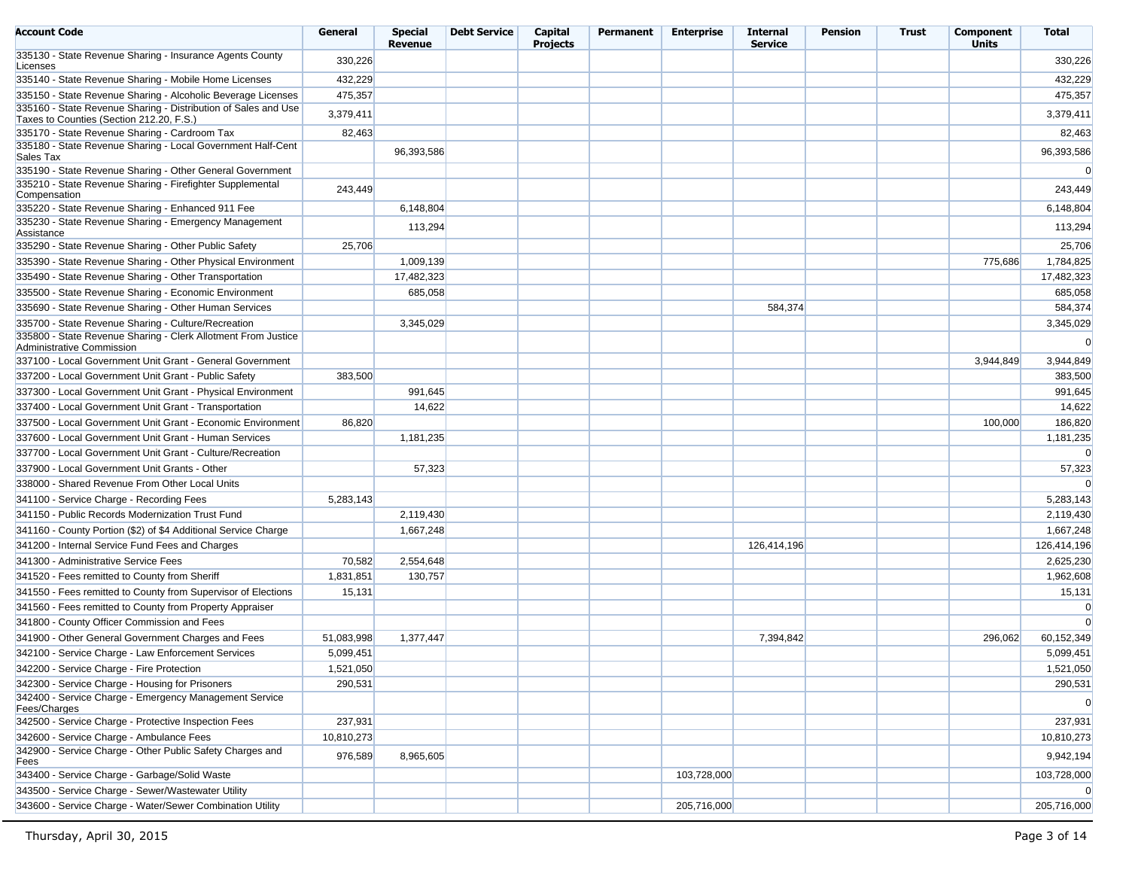| Account Code                                                                                                         | General    | <b>Special</b><br><b>Revenue</b> | <b>Debt Service</b> | Capital<br><b>Projects</b> | Permanent | <b>Enterprise</b> | <b>Internal</b><br><b>Service</b> | <b>Pension</b> | <b>Trust</b> | Component<br><b>Units</b> | <b>Total</b>   |
|----------------------------------------------------------------------------------------------------------------------|------------|----------------------------------|---------------------|----------------------------|-----------|-------------------|-----------------------------------|----------------|--------------|---------------------------|----------------|
| 335130 - State Revenue Sharing - Insurance Agents County<br>Licenses                                                 | 330,226    |                                  |                     |                            |           |                   |                                   |                |              |                           | 330,226        |
| 335140 - State Revenue Sharing - Mobile Home Licenses                                                                | 432,229    |                                  |                     |                            |           |                   |                                   |                |              |                           | 432,229        |
| 335150 - State Revenue Sharing - Alcoholic Beverage Licenses                                                         | 475,357    |                                  |                     |                            |           |                   |                                   |                |              |                           | 475,357        |
| 335160 - State Revenue Sharing - Distribution of Sales and Use<br>Taxes to Counties (Section 212.20, F.S.)           | 3,379,411  |                                  |                     |                            |           |                   |                                   |                |              |                           | 3,379,411      |
| 335170 - State Revenue Sharing - Cardroom Tax                                                                        | 82,463     |                                  |                     |                            |           |                   |                                   |                |              |                           | 82,463         |
| 335180 - State Revenue Sharing - Local Government Half-Cent<br>Sales Tax                                             |            | 96,393,586                       |                     |                            |           |                   |                                   |                |              |                           | 96,393,586     |
| 335190 - State Revenue Sharing - Other General Government                                                            |            |                                  |                     |                            |           |                   |                                   |                |              |                           | $\overline{0}$ |
| 335210 - State Revenue Sharing - Firefighter Supplemental<br>Compensation                                            | 243,449    |                                  |                     |                            |           |                   |                                   |                |              |                           | 243,449        |
| 335220 - State Revenue Sharing - Enhanced 911 Fee                                                                    |            | 6,148,804                        |                     |                            |           |                   |                                   |                |              |                           | 6,148,804      |
| 335230 - State Revenue Sharing - Emergency Management<br>Assistance                                                  |            | 113,294                          |                     |                            |           |                   |                                   |                |              |                           | 113,294        |
| 335290 - State Revenue Sharing - Other Public Safety                                                                 | 25,706     |                                  |                     |                            |           |                   |                                   |                |              |                           | 25,706         |
| 335390 - State Revenue Sharing - Other Physical Environment                                                          |            | 1,009,139                        |                     |                            |           |                   |                                   |                |              | 775,686                   | 1,784,825      |
| 335490 - State Revenue Sharing - Other Transportation                                                                |            | 17,482,323                       |                     |                            |           |                   |                                   |                |              |                           | 17,482,323     |
| 335500 - State Revenue Sharing - Economic Environment                                                                |            | 685,058                          |                     |                            |           |                   |                                   |                |              |                           | 685,058        |
| 335690 - State Revenue Sharing - Other Human Services                                                                |            |                                  |                     |                            |           |                   | 584,374                           |                |              |                           | 584,374        |
| 335700 - State Revenue Sharing - Culture/Recreation<br>335800 - State Revenue Sharing - Clerk Allotment From Justice |            | 3,345,029                        |                     |                            |           |                   |                                   |                |              |                           | 3,345,029      |
| Administrative Commission                                                                                            |            |                                  |                     |                            |           |                   |                                   |                |              |                           | $\Omega$       |
| 337100 - Local Government Unit Grant - General Government                                                            |            |                                  |                     |                            |           |                   |                                   |                |              | 3,944,849                 | 3,944,849      |
| 337200 - Local Government Unit Grant - Public Safety                                                                 | 383,500    |                                  |                     |                            |           |                   |                                   |                |              |                           | 383,500        |
| 337300 - Local Government Unit Grant - Physical Environment                                                          |            | 991,645                          |                     |                            |           |                   |                                   |                |              |                           | 991,645        |
| 337400 - Local Government Unit Grant - Transportation                                                                |            | 14,622                           |                     |                            |           |                   |                                   |                |              |                           | 14,622         |
| 337500 - Local Government Unit Grant - Economic Environment                                                          | 86,820     |                                  |                     |                            |           |                   |                                   |                |              | 100,000                   | 186,820        |
| 337600 - Local Government Unit Grant - Human Services                                                                |            | 1,181,235                        |                     |                            |           |                   |                                   |                |              |                           | 1,181,235      |
| 337700 - Local Government Unit Grant - Culture/Recreation                                                            |            |                                  |                     |                            |           |                   |                                   |                |              |                           | $\overline{0}$ |
| 337900 - Local Government Unit Grants - Other                                                                        |            | 57,323                           |                     |                            |           |                   |                                   |                |              |                           | 57,323         |
| 338000 - Shared Revenue From Other Local Units                                                                       |            |                                  |                     |                            |           |                   |                                   |                |              |                           | $\overline{0}$ |
| 341100 - Service Charge - Recording Fees                                                                             | 5,283,143  |                                  |                     |                            |           |                   |                                   |                |              |                           | 5,283,143      |
| 341150 - Public Records Modernization Trust Fund                                                                     |            | 2,119,430                        |                     |                            |           |                   |                                   |                |              |                           | 2,119,430      |
| 341160 - County Portion (\$2) of \$4 Additional Service Charge                                                       |            | 1,667,248                        |                     |                            |           |                   |                                   |                |              |                           | 1,667,248      |
| 341200 - Internal Service Fund Fees and Charges                                                                      |            |                                  |                     |                            |           |                   | 126,414,196                       |                |              |                           | 126,414,196    |
| 341300 - Administrative Service Fees                                                                                 | 70,582     | 2,554,648                        |                     |                            |           |                   |                                   |                |              |                           | 2,625,230      |
| 341520 - Fees remitted to County from Sheriff                                                                        | 1,831,851  | 130,757                          |                     |                            |           |                   |                                   |                |              |                           | 1,962,608      |
| 341550 - Fees remitted to County from Supervisor of Elections                                                        | 15,131     |                                  |                     |                            |           |                   |                                   |                |              |                           | 15,131         |
| 341560 - Fees remitted to County from Property Appraiser                                                             |            |                                  |                     |                            |           |                   |                                   |                |              |                           | $\Omega$       |
| 341800 - County Officer Commission and Fees                                                                          |            |                                  |                     |                            |           |                   |                                   |                |              |                           | $\Omega$       |
| 341900 - Other General Government Charges and Fees                                                                   | 51,083,998 | 1,377,447                        |                     |                            |           |                   | 7,394,842                         |                |              | 296,062                   | 60,152,349     |
| 342100 - Service Charge - Law Enforcement Services                                                                   | 5,099,451  |                                  |                     |                            |           |                   |                                   |                |              |                           | 5,099,451      |
| 342200 - Service Charge - Fire Protection                                                                            | 1,521,050  |                                  |                     |                            |           |                   |                                   |                |              |                           | 1,521,050      |
| 342300 - Service Charge - Housing for Prisoners                                                                      | 290,531    |                                  |                     |                            |           |                   |                                   |                |              |                           | 290,531        |
| 342400 - Service Charge - Emergency Management Service<br>Fees/Charges                                               |            |                                  |                     |                            |           |                   |                                   |                |              |                           | $\overline{0}$ |
| 342500 - Service Charge - Protective Inspection Fees                                                                 | 237,931    |                                  |                     |                            |           |                   |                                   |                |              |                           | 237,931        |
| 342600 - Service Charge - Ambulance Fees                                                                             | 10,810,273 |                                  |                     |                            |           |                   |                                   |                |              |                           | 10,810,273     |
| 342900 - Service Charge - Other Public Safety Charges and<br>Fees                                                    | 976,589    | 8,965,605                        |                     |                            |           |                   |                                   |                |              |                           | 9,942,194      |
| 343400 - Service Charge - Garbage/Solid Waste                                                                        |            |                                  |                     |                            |           | 103,728,000       |                                   |                |              |                           | 103,728,000    |
| 343500 - Service Charge - Sewer/Wastewater Utility                                                                   |            |                                  |                     |                            |           |                   |                                   |                |              |                           | $\overline{0}$ |
| 343600 - Service Charge - Water/Sewer Combination Utility                                                            |            |                                  |                     |                            |           | 205,716,000       |                                   |                |              |                           | 205,716,000    |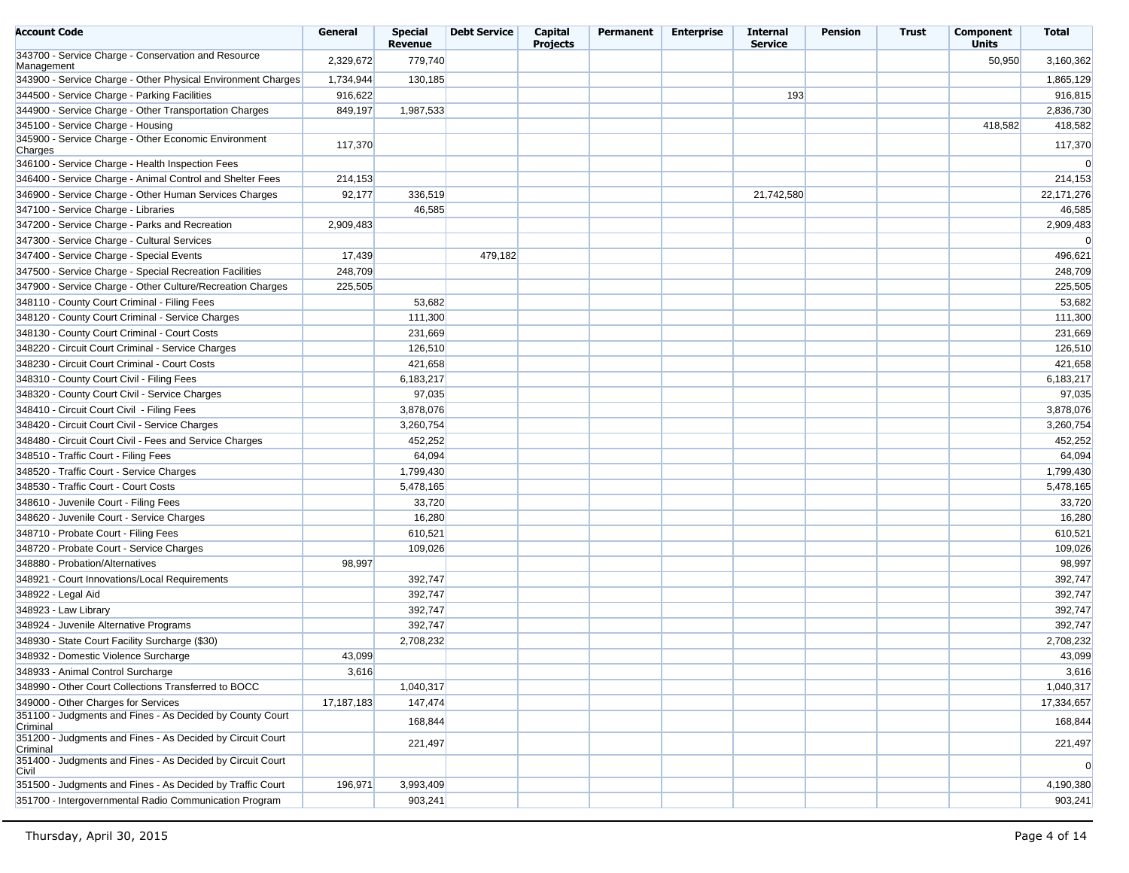| <b>Account Code</b>                                                    | General    | <b>Special</b><br><b>Revenue</b> | <b>Debt Service</b> | Capital<br><b>Projects</b> | Permanent | <b>Enterprise</b> | <b>Internal</b><br><b>Service</b> | <b>Pension</b> | <b>Trust</b> | Component<br><b>Units</b> | <b>Total</b>       |
|------------------------------------------------------------------------|------------|----------------------------------|---------------------|----------------------------|-----------|-------------------|-----------------------------------|----------------|--------------|---------------------------|--------------------|
| 343700 - Service Charge - Conservation and Resource<br>Management      | 2,329,672  | 779,740                          |                     |                            |           |                   |                                   |                |              | 50,950                    | 3,160,362          |
| 343900 - Service Charge - Other Physical Environment Charges           | 1,734,944  | 130,185                          |                     |                            |           |                   |                                   |                |              |                           | 1,865,129          |
| 344500 - Service Charge - Parking Facilities                           | 916,622    |                                  |                     |                            |           |                   | 193                               |                |              |                           | 916,815            |
| 344900 - Service Charge - Other Transportation Charges                 | 849,197    | 1,987,533                        |                     |                            |           |                   |                                   |                |              |                           | 2,836,730          |
| 345100 - Service Charge - Housing                                      |            |                                  |                     |                            |           |                   |                                   |                |              | 418,582                   | 418,582            |
| 345900 - Service Charge - Other Economic Environment<br>Charges        | 117,370    |                                  |                     |                            |           |                   |                                   |                |              |                           | 117,370            |
| 346100 - Service Charge - Health Inspection Fees                       |            |                                  |                     |                            |           |                   |                                   |                |              |                           | $\overline{0}$     |
| 346400 - Service Charge - Animal Control and Shelter Fees              | 214,153    |                                  |                     |                            |           |                   |                                   |                |              |                           | 214,153            |
| 346900 - Service Charge - Other Human Services Charges                 | 92,177     | 336,519                          |                     |                            |           |                   | 21,742,580                        |                |              |                           | 22, 171, 276       |
| 347100 - Service Charge - Libraries                                    |            | 46,585                           |                     |                            |           |                   |                                   |                |              |                           | 46,585             |
| 347200 - Service Charge - Parks and Recreation                         | 2,909,483  |                                  |                     |                            |           |                   |                                   |                |              |                           | 2,909,483          |
| 347300 - Service Charge - Cultural Services                            |            |                                  |                     |                            |           |                   |                                   |                |              |                           | $\overline{0}$     |
| 347400 - Service Charge - Special Events                               | 17,439     |                                  | 479,182             |                            |           |                   |                                   |                |              |                           | 496,621            |
| 347500 - Service Charge - Special Recreation Facilities                | 248,709    |                                  |                     |                            |           |                   |                                   |                |              |                           | 248,709            |
| 347900 - Service Charge - Other Culture/Recreation Charges             | 225,505    |                                  |                     |                            |           |                   |                                   |                |              |                           | 225,505            |
| 348110 - County Court Criminal - Filing Fees                           |            | 53,682                           |                     |                            |           |                   |                                   |                |              |                           | 53,682             |
| 348120 - County Court Criminal - Service Charges                       |            | 111,300                          |                     |                            |           |                   |                                   |                |              |                           | 111,300            |
| 348130 - County Court Criminal - Court Costs                           |            | 231,669                          |                     |                            |           |                   |                                   |                |              |                           | 231,669            |
| 348220 - Circuit Court Criminal - Service Charges                      |            | 126,510                          |                     |                            |           |                   |                                   |                |              |                           | 126,510            |
| 348230 - Circuit Court Criminal - Court Costs                          |            | 421,658                          |                     |                            |           |                   |                                   |                |              |                           | 421,658            |
| 348310 - County Court Civil - Filing Fees                              |            | 6,183,217                        |                     |                            |           |                   |                                   |                |              |                           | 6,183,217          |
| 348320 - County Court Civil - Service Charges                          |            | 97,035                           |                     |                            |           |                   |                                   |                |              |                           | 97,035             |
| 348410 - Circuit Court Civil - Filing Fees                             |            | 3,878,076                        |                     |                            |           |                   |                                   |                |              |                           | 3,878,076          |
| 348420 - Circuit Court Civil - Service Charges                         |            | 3,260,754                        |                     |                            |           |                   |                                   |                |              |                           | 3,260,754          |
| 348480 - Circuit Court Civil - Fees and Service Charges                |            | 452,252                          |                     |                            |           |                   |                                   |                |              |                           | 452,252            |
| 348510 - Traffic Court - Filing Fees                                   |            | 64,094                           |                     |                            |           |                   |                                   |                |              |                           | 64,094             |
| 348520 - Traffic Court - Service Charges                               |            | 1,799,430                        |                     |                            |           |                   |                                   |                |              |                           | 1,799,430          |
| 348530 - Traffic Court - Court Costs                                   |            | 5,478,165                        |                     |                            |           |                   |                                   |                |              |                           | 5,478,165          |
| 348610 - Juvenile Court - Filing Fees                                  |            | 33,720                           |                     |                            |           |                   |                                   |                |              |                           | 33,720             |
| 348620 - Juvenile Court - Service Charges                              |            | 16,280                           |                     |                            |           |                   |                                   |                |              |                           | 16,280             |
| 348710 - Probate Court - Filing Fees                                   |            | 610,521                          |                     |                            |           |                   |                                   |                |              |                           | 610,521            |
| 348720 - Probate Court - Service Charges                               |            | 109,026                          |                     |                            |           |                   |                                   |                |              |                           | 109,026            |
| 348880 - Probation/Alternatives                                        | 98,997     |                                  |                     |                            |           |                   |                                   |                |              |                           | 98,997             |
| 348921 - Court Innovations/Local Requirements                          |            | 392,747                          |                     |                            |           |                   |                                   |                |              |                           | 392,747            |
| 348922 - Legal Aid                                                     |            | 392,747                          |                     |                            |           |                   |                                   |                |              |                           | 392,747            |
| 348923 - Law Library                                                   |            | 392,747                          |                     |                            |           |                   |                                   |                |              |                           | 392,747            |
| 348924 - Juvenile Alternative Programs                                 |            | 392,747                          |                     |                            |           |                   |                                   |                |              |                           | 392,747            |
| 348930 - State Court Facility Surcharge (\$30)                         |            | 2,708,232                        |                     |                            |           |                   |                                   |                |              |                           | 2,708,232          |
| 348932 - Domestic Violence Surcharge                                   | 43,099     |                                  |                     |                            |           |                   |                                   |                |              |                           | 43,099             |
| 348933 - Animal Control Surcharge                                      | 3,616      |                                  |                     |                            |           |                   |                                   |                |              |                           | 3,616              |
| 348990 - Other Court Collections Transferred to BOCC                   |            | 1,040,317                        |                     |                            |           |                   |                                   |                |              |                           | 1,040,317          |
| 349000 - Other Charges for Services                                    | 17,187,183 | 147,474                          |                     |                            |           |                   |                                   |                |              |                           | 17,334,657         |
| 351100 - Judgments and Fines - As Decided by County Court              |            |                                  |                     |                            |           |                   |                                   |                |              |                           |                    |
| Criminal<br>351200 - Judgments and Fines - As Decided by Circuit Court |            | 168,844<br>221,497               |                     |                            |           |                   |                                   |                |              |                           | 168,844<br>221,497 |
| Criminal<br>351400 - Judgments and Fines - As Decided by Circuit Court |            |                                  |                     |                            |           |                   |                                   |                |              |                           | $\overline{0}$     |
| Civil<br>351500 - Judgments and Fines - As Decided by Traffic Court    |            |                                  |                     |                            |           |                   |                                   |                |              |                           |                    |
| 351700 - Intergovernmental Radio Communication Program                 | 196,971    | 3,993,409<br>903,241             |                     |                            |           |                   |                                   |                |              |                           | 4,190,380          |
|                                                                        |            |                                  |                     |                            |           |                   |                                   |                |              |                           | 903,241            |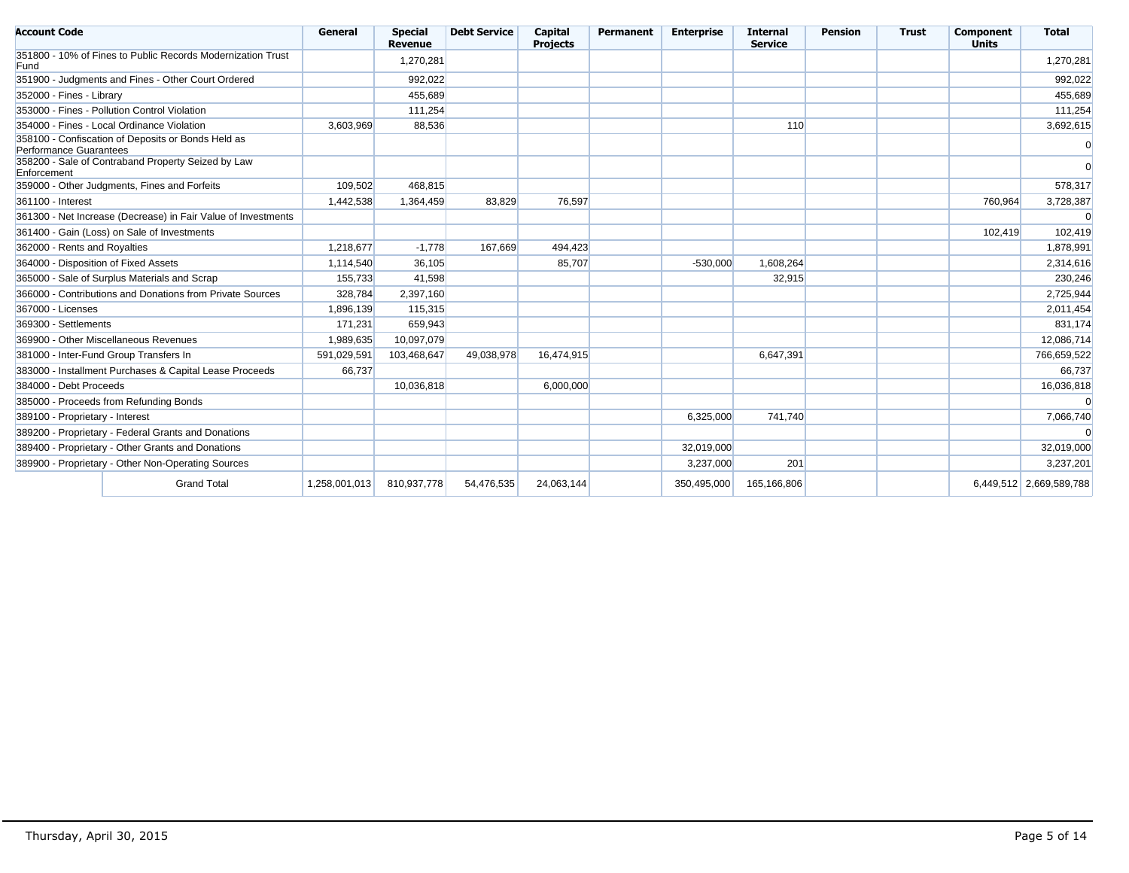| <b>Account Code</b>                  |                                                               | General       | <b>Special</b><br><b>Revenue</b> | <b>Debt Service</b> | Capital<br><b>Projects</b> | Permanent | <b>Enterprise</b> | <b>Internal</b><br><b>Service</b> | <b>Pension</b> | <b>Trust</b> | <b>Component</b><br><b>Units</b> | <b>Total</b>            |
|--------------------------------------|---------------------------------------------------------------|---------------|----------------------------------|---------------------|----------------------------|-----------|-------------------|-----------------------------------|----------------|--------------|----------------------------------|-------------------------|
| Fund                                 | 351800 - 10% of Fines to Public Records Modernization Trust   |               | 1,270,281                        |                     |                            |           |                   |                                   |                |              |                                  | 1,270,281               |
|                                      | 351900 - Judgments and Fines - Other Court Ordered            |               | 992,022                          |                     |                            |           |                   |                                   |                |              |                                  | 992,022                 |
| 352000 - Fines - Library             |                                                               |               | 455.689                          |                     |                            |           |                   |                                   |                |              |                                  | 455,689                 |
|                                      | 353000 - Fines - Pollution Control Violation                  |               | 111,254                          |                     |                            |           |                   |                                   |                |              |                                  | 111,254                 |
|                                      | 354000 - Fines - Local Ordinance Violation                    | 3,603,969     | 88,536                           |                     |                            |           |                   | 110                               |                |              |                                  | 3,692,615               |
| Performance Guarantees               | 358100 - Confiscation of Deposits or Bonds Held as            |               |                                  |                     |                            |           |                   |                                   |                |              |                                  |                         |
| Enforcement                          | 358200 - Sale of Contraband Property Seized by Law            |               |                                  |                     |                            |           |                   |                                   |                |              |                                  | $\Omega$                |
|                                      | 359000 - Other Judgments, Fines and Forfeits                  | 109,502       | 468,815                          |                     |                            |           |                   |                                   |                |              |                                  | 578,317                 |
| 361100 - Interest                    |                                                               | 1,442,538     | 1,364,459                        | 83,829              | 76,597                     |           |                   |                                   |                |              | 760,964                          | 3,728,387               |
|                                      | 361300 - Net Increase (Decrease) in Fair Value of Investments |               |                                  |                     |                            |           |                   |                                   |                |              |                                  | $\Omega$                |
|                                      | 361400 - Gain (Loss) on Sale of Investments                   |               |                                  |                     |                            |           |                   |                                   |                |              | 102,419                          | 102,419                 |
| 362000 - Rents and Royalties         |                                                               | 1,218,677     | $-1.778$                         | 167.669             | 494.423                    |           |                   |                                   |                |              |                                  | 1,878,991               |
| 364000 - Disposition of Fixed Assets |                                                               | 1,114,540     | 36,105                           |                     | 85,707                     |           | $-530,000$        | 1,608,264                         |                |              |                                  | 2,314,616               |
|                                      | 365000 - Sale of Surplus Materials and Scrap                  | 155,733       | 41,598                           |                     |                            |           |                   | 32,915                            |                |              |                                  | 230,246                 |
|                                      | 366000 - Contributions and Donations from Private Sources     | 328,784       | 2,397,160                        |                     |                            |           |                   |                                   |                |              |                                  | 2,725,944               |
| 367000 - Licenses                    |                                                               | 1,896,139     | 115,315                          |                     |                            |           |                   |                                   |                |              |                                  | 2,011,454               |
| 369300 - Settlements                 |                                                               | 171.231       | 659,943                          |                     |                            |           |                   |                                   |                |              |                                  | 831,174                 |
|                                      | 369900 - Other Miscellaneous Revenues                         | 1,989,635     | 10,097,079                       |                     |                            |           |                   |                                   |                |              |                                  | 12,086,714              |
|                                      | 381000 - Inter-Fund Group Transfers In                        | 591,029,591   | 103,468,647                      | 49,038,978          | 16.474.915                 |           |                   | 6.647.391                         |                |              |                                  | 766,659,522             |
|                                      | 383000 - Installment Purchases & Capital Lease Proceeds       | 66,737        |                                  |                     |                            |           |                   |                                   |                |              |                                  | 66,737                  |
| 384000 - Debt Proceeds               |                                                               |               | 10,036,818                       |                     | 6,000,000                  |           |                   |                                   |                |              |                                  | 16,036,818              |
|                                      | 385000 - Proceeds from Refunding Bonds                        |               |                                  |                     |                            |           |                   |                                   |                |              |                                  | $\overline{0}$          |
| 389100 - Proprietary - Interest      |                                                               |               |                                  |                     |                            |           | 6,325,000         | 741,740                           |                |              |                                  | 7,066,740               |
|                                      | 389200 - Proprietary - Federal Grants and Donations           |               |                                  |                     |                            |           |                   |                                   |                |              |                                  | $\Omega$                |
|                                      | 389400 - Proprietary - Other Grants and Donations             |               |                                  |                     |                            |           | 32,019,000        |                                   |                |              |                                  | 32,019,000              |
|                                      | 389900 - Proprietary - Other Non-Operating Sources            |               |                                  |                     |                            |           | 3,237,000         | 201                               |                |              |                                  | 3,237,201               |
|                                      | <b>Grand Total</b>                                            | 1,258,001,013 | 810,937,778                      | 54,476,535          | 24,063,144                 |           | 350,495,000       | 165,166,806                       |                |              |                                  | 6,449,512 2,669,589,788 |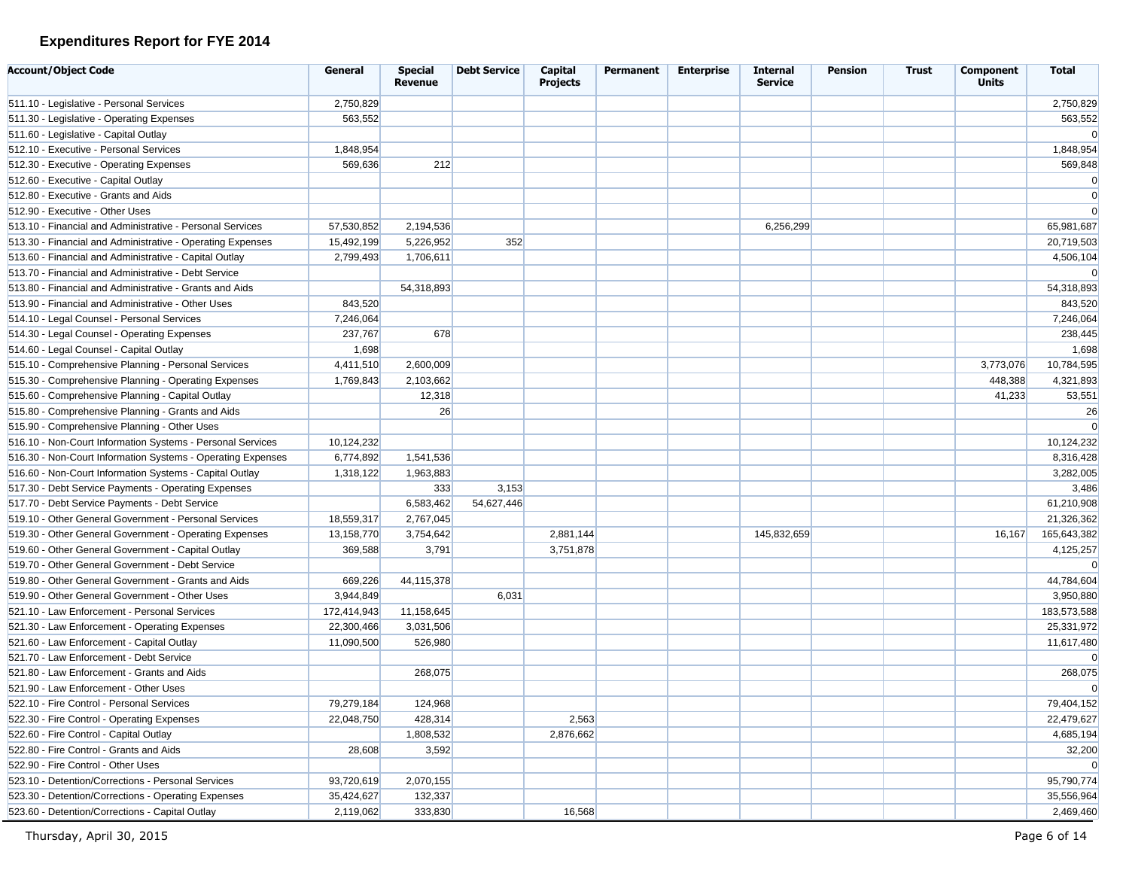# **Expenditures Report for FYE 2014**

| <b>Account/Object Code</b>                                  | General     | <b>Special</b><br><b>Revenue</b> | <b>Debt Service</b> | Capital<br><b>Projects</b> | Permanent | <b>Enterprise</b> | <b>Internal</b><br><b>Service</b> | <b>Pension</b> | <b>Trust</b> | <b>Component</b><br><b>Units</b> | <b>Total</b>   |
|-------------------------------------------------------------|-------------|----------------------------------|---------------------|----------------------------|-----------|-------------------|-----------------------------------|----------------|--------------|----------------------------------|----------------|
| 511.10 - Legislative - Personal Services                    | 2,750,829   |                                  |                     |                            |           |                   |                                   |                |              |                                  | 2,750,829      |
| 511.30 - Legislative - Operating Expenses                   | 563,552     |                                  |                     |                            |           |                   |                                   |                |              |                                  | 563,552        |
| 511.60 - Legislative - Capital Outlay                       |             |                                  |                     |                            |           |                   |                                   |                |              |                                  | $\Omega$       |
| 512.10 - Executive - Personal Services                      | 1,848,954   |                                  |                     |                            |           |                   |                                   |                |              |                                  | 1,848,954      |
| 512.30 - Executive - Operating Expenses                     | 569,636     | 212                              |                     |                            |           |                   |                                   |                |              |                                  | 569,848        |
| 512.60 - Executive - Capital Outlay                         |             |                                  |                     |                            |           |                   |                                   |                |              |                                  | 0              |
| 512.80 - Executive - Grants and Aids                        |             |                                  |                     |                            |           |                   |                                   |                |              |                                  | $\mathbf 0$    |
| 512.90 - Executive - Other Uses                             |             |                                  |                     |                            |           |                   |                                   |                |              |                                  | $\mathbf 0$    |
| 513.10 - Financial and Administrative - Personal Services   | 57,530,852  | 2,194,536                        |                     |                            |           |                   | 6,256,299                         |                |              |                                  | 65,981,687     |
| 513.30 - Financial and Administrative - Operating Expenses  | 15,492,199  | 5,226,952                        | 352                 |                            |           |                   |                                   |                |              |                                  | 20,719,503     |
| 513.60 - Financial and Administrative - Capital Outlay      | 2,799,493   | 1,706,611                        |                     |                            |           |                   |                                   |                |              |                                  | 4,506,104      |
| 513.70 - Financial and Administrative - Debt Service        |             |                                  |                     |                            |           |                   |                                   |                |              |                                  | $\overline{0}$ |
| 513.80 - Financial and Administrative - Grants and Aids     |             | 54,318,893                       |                     |                            |           |                   |                                   |                |              |                                  | 54,318,893     |
| 513.90 - Financial and Administrative - Other Uses          | 843,520     |                                  |                     |                            |           |                   |                                   |                |              |                                  | 843,520        |
| 514.10 - Legal Counsel - Personal Services                  | 7,246,064   |                                  |                     |                            |           |                   |                                   |                |              |                                  | 7,246,064      |
| 514.30 - Legal Counsel - Operating Expenses                 | 237,767     | 678                              |                     |                            |           |                   |                                   |                |              |                                  | 238,445        |
| 514.60 - Legal Counsel - Capital Outlay                     | 1,698       |                                  |                     |                            |           |                   |                                   |                |              |                                  | 1,698          |
| 515.10 - Comprehensive Planning - Personal Services         | 4,411,510   | 2,600,009                        |                     |                            |           |                   |                                   |                |              | 3,773,076                        | 10,784,595     |
| 515.30 - Comprehensive Planning - Operating Expenses        | 1,769,843   | 2,103,662                        |                     |                            |           |                   |                                   |                |              | 448,388                          | 4,321,893      |
| 515.60 - Comprehensive Planning - Capital Outlay            |             | 12,318                           |                     |                            |           |                   |                                   |                |              | 41,233                           | 53,551         |
| 515.80 - Comprehensive Planning - Grants and Aids           |             | 26                               |                     |                            |           |                   |                                   |                |              |                                  | 26             |
| 515.90 - Comprehensive Planning - Other Uses                |             |                                  |                     |                            |           |                   |                                   |                |              |                                  | $\Omega$       |
| 516.10 - Non-Court Information Systems - Personal Services  | 10,124,232  |                                  |                     |                            |           |                   |                                   |                |              |                                  | 10,124,232     |
| 516.30 - Non-Court Information Systems - Operating Expenses | 6,774,892   | 1,541,536                        |                     |                            |           |                   |                                   |                |              |                                  | 8,316,428      |
| 516.60 - Non-Court Information Systems - Capital Outlay     | 1,318,122   | 1,963,883                        |                     |                            |           |                   |                                   |                |              |                                  | 3,282,005      |
| 517.30 - Debt Service Payments - Operating Expenses         |             | 333                              | 3,153               |                            |           |                   |                                   |                |              |                                  | 3,486          |
| 517.70 - Debt Service Payments - Debt Service               |             | 6,583,462                        | 54,627,446          |                            |           |                   |                                   |                |              |                                  | 61,210,908     |
| 519.10 - Other General Government - Personal Services       | 18,559,317  | 2,767,045                        |                     |                            |           |                   |                                   |                |              |                                  | 21,326,362     |
| 519.30 - Other General Government - Operating Expenses      | 13,158,770  | 3,754,642                        |                     | 2,881,144                  |           |                   | 145,832,659                       |                |              | 16,167                           | 165,643,382    |
| 519.60 - Other General Government - Capital Outlay          | 369,588     | 3,791                            |                     | 3,751,878                  |           |                   |                                   |                |              |                                  | 4,125,257      |
| 519.70 - Other General Government - Debt Service            |             |                                  |                     |                            |           |                   |                                   |                |              |                                  | $\mathbf 0$    |
| 519.80 - Other General Government - Grants and Aids         | 669,226     | 44,115,378                       |                     |                            |           |                   |                                   |                |              |                                  | 44,784,604     |
| 519.90 - Other General Government - Other Uses              | 3,944,849   |                                  | 6,031               |                            |           |                   |                                   |                |              |                                  | 3,950,880      |
| 521.10 - Law Enforcement - Personal Services                | 172,414,943 | 11,158,645                       |                     |                            |           |                   |                                   |                |              |                                  | 183,573,588    |
| 521.30 - Law Enforcement - Operating Expenses               | 22,300,466  | 3,031,506                        |                     |                            |           |                   |                                   |                |              |                                  | 25,331,972     |
| 521.60 - Law Enforcement - Capital Outlay                   | 11,090,500  | 526,980                          |                     |                            |           |                   |                                   |                |              |                                  | 11,617,480     |
| 521.70 - Law Enforcement - Debt Service                     |             |                                  |                     |                            |           |                   |                                   |                |              |                                  | $\mathbf 0$    |
| 521.80 - Law Enforcement - Grants and Aids                  |             | 268,075                          |                     |                            |           |                   |                                   |                |              |                                  | 268,075        |
| 521.90 - Law Enforcement - Other Uses                       |             |                                  |                     |                            |           |                   |                                   |                |              |                                  | $\overline{0}$ |
| 522.10 - Fire Control - Personal Services                   | 79,279,184  | 124,968                          |                     |                            |           |                   |                                   |                |              |                                  | 79,404,152     |
| 522.30 - Fire Control - Operating Expenses                  | 22,048,750  | 428,314                          |                     | 2,563                      |           |                   |                                   |                |              |                                  | 22,479,627     |
| 522.60 - Fire Control - Capital Outlay                      |             | 1,808,532                        |                     | 2,876,662                  |           |                   |                                   |                |              |                                  | 4,685,194      |
| 522.80 - Fire Control - Grants and Aids                     | 28,608      | 3,592                            |                     |                            |           |                   |                                   |                |              |                                  | 32,200         |
| 522.90 - Fire Control - Other Uses                          |             |                                  |                     |                            |           |                   |                                   |                |              |                                  | $\mathbf 0$    |
| 523.10 - Detention/Corrections - Personal Services          | 93,720,619  | 2,070,155                        |                     |                            |           |                   |                                   |                |              |                                  | 95,790,774     |
| 523.30 - Detention/Corrections - Operating Expenses         | 35,424,627  | 132,337                          |                     |                            |           |                   |                                   |                |              |                                  | 35,556,964     |
| 523.60 - Detention/Corrections - Capital Outlay             | 2,119,062   | 333,830                          |                     | 16,568                     |           |                   |                                   |                |              |                                  | 2,469,460      |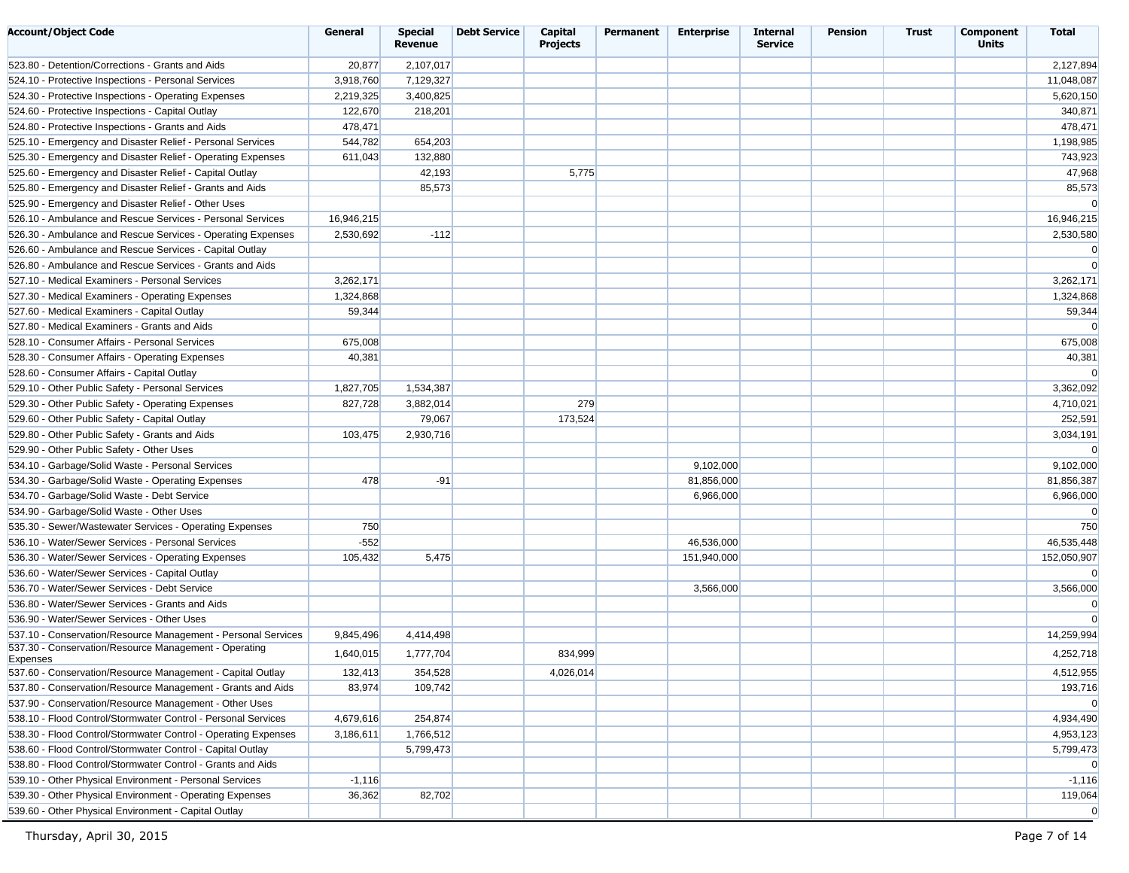| <b>Account/Object Code</b>                                        | General    | <b>Special</b><br><b>Revenue</b> | <b>Debt Service</b> | Capital<br><b>Projects</b> | Permanent | <b>Enterprise</b> | <b>Internal</b><br><b>Service</b> | <b>Pension</b> | <b>Trust</b> | Component<br><b>Units</b> | <b>Total</b>   |
|-------------------------------------------------------------------|------------|----------------------------------|---------------------|----------------------------|-----------|-------------------|-----------------------------------|----------------|--------------|---------------------------|----------------|
| 523.80 - Detention/Corrections - Grants and Aids                  | 20,877     | 2,107,017                        |                     |                            |           |                   |                                   |                |              |                           | 2,127,894      |
| 524.10 - Protective Inspections - Personal Services               | 3,918,760  | 7,129,327                        |                     |                            |           |                   |                                   |                |              |                           | 11,048,087     |
| 524.30 - Protective Inspections - Operating Expenses              | 2,219,325  | 3,400,825                        |                     |                            |           |                   |                                   |                |              |                           | 5,620,150      |
| 524.60 - Protective Inspections - Capital Outlay                  | 122,670    | 218,201                          |                     |                            |           |                   |                                   |                |              |                           | 340,871        |
| 524.80 - Protective Inspections - Grants and Aids                 | 478,471    |                                  |                     |                            |           |                   |                                   |                |              |                           | 478,471        |
| 525.10 - Emergency and Disaster Relief - Personal Services        | 544,782    | 654,203                          |                     |                            |           |                   |                                   |                |              |                           | 1,198,985      |
| 525.30 - Emergency and Disaster Relief - Operating Expenses       | 611,043    | 132,880                          |                     |                            |           |                   |                                   |                |              |                           | 743,923        |
| 525.60 - Emergency and Disaster Relief - Capital Outlay           |            | 42,193                           |                     | 5,775                      |           |                   |                                   |                |              |                           | 47,968         |
| 525.80 - Emergency and Disaster Relief - Grants and Aids          |            | 85,573                           |                     |                            |           |                   |                                   |                |              |                           | 85,573         |
| 525.90 - Emergency and Disaster Relief - Other Uses               |            |                                  |                     |                            |           |                   |                                   |                |              |                           | $\overline{0}$ |
| 526.10 - Ambulance and Rescue Services - Personal Services        | 16,946,215 |                                  |                     |                            |           |                   |                                   |                |              |                           | 16,946,215     |
| 526.30 - Ambulance and Rescue Services - Operating Expenses       | 2,530,692  | $-112$                           |                     |                            |           |                   |                                   |                |              |                           | 2,530,580      |
| 526.60 - Ambulance and Rescue Services - Capital Outlay           |            |                                  |                     |                            |           |                   |                                   |                |              |                           | $\overline{0}$ |
| 526.80 - Ambulance and Rescue Services - Grants and Aids          |            |                                  |                     |                            |           |                   |                                   |                |              |                           | $\overline{0}$ |
| 527.10 - Medical Examiners - Personal Services                    | 3,262,171  |                                  |                     |                            |           |                   |                                   |                |              |                           | 3,262,171      |
| 527.30 - Medical Examiners - Operating Expenses                   | 1,324,868  |                                  |                     |                            |           |                   |                                   |                |              |                           | 1,324,868      |
| 527.60 - Medical Examiners - Capital Outlay                       | 59,344     |                                  |                     |                            |           |                   |                                   |                |              |                           | 59,344         |
|                                                                   |            |                                  |                     |                            |           |                   |                                   |                |              |                           |                |
| 527.80 - Medical Examiners - Grants and Aids                      |            |                                  |                     |                            |           |                   |                                   |                |              |                           | $\overline{0}$ |
| 528.10 - Consumer Affairs - Personal Services                     | 675,008    |                                  |                     |                            |           |                   |                                   |                |              |                           | 675,008        |
| 528.30 - Consumer Affairs - Operating Expenses                    | 40,381     |                                  |                     |                            |           |                   |                                   |                |              |                           | 40,381         |
| 528.60 - Consumer Affairs - Capital Outlay                        |            |                                  |                     |                            |           |                   |                                   |                |              |                           | $\overline{0}$ |
| 529.10 - Other Public Safety - Personal Services                  | 1,827,705  | 1,534,387                        |                     |                            |           |                   |                                   |                |              |                           | 3,362,092      |
| 529.30 - Other Public Safety - Operating Expenses                 | 827,728    | 3,882,014                        |                     | 279                        |           |                   |                                   |                |              |                           | 4,710,021      |
| 529.60 - Other Public Safety - Capital Outlay                     |            | 79,067                           |                     | 173,524                    |           |                   |                                   |                |              |                           | 252,591        |
| 529.80 - Other Public Safety - Grants and Aids                    | 103,475    | 2,930,716                        |                     |                            |           |                   |                                   |                |              |                           | 3,034,191      |
| 529.90 - Other Public Safety - Other Uses                         |            |                                  |                     |                            |           |                   |                                   |                |              |                           | $\overline{0}$ |
| 534.10 - Garbage/Solid Waste - Personal Services                  |            |                                  |                     |                            |           | 9,102,000         |                                   |                |              |                           | 9,102,000      |
| 534.30 - Garbage/Solid Waste - Operating Expenses                 | 478        | $-91$                            |                     |                            |           | 81,856,000        |                                   |                |              |                           | 81,856,387     |
| 534.70 - Garbage/Solid Waste - Debt Service                       |            |                                  |                     |                            |           | 6,966,000         |                                   |                |              |                           | 6,966,000      |
| 534.90 - Garbage/Solid Waste - Other Uses                         |            |                                  |                     |                            |           |                   |                                   |                |              |                           | $\Omega$       |
| 535.30 - Sewer/Wastewater Services - Operating Expenses           | 750        |                                  |                     |                            |           |                   |                                   |                |              |                           | 750            |
| 536.10 - Water/Sewer Services - Personal Services                 | $-552$     |                                  |                     |                            |           | 46,536,000        |                                   |                |              |                           | 46,535,448     |
| 536.30 - Water/Sewer Services - Operating Expenses                | 105,432    | 5,475                            |                     |                            |           | 151,940,000       |                                   |                |              |                           | 152,050,907    |
| 536.60 - Water/Sewer Services - Capital Outlay                    |            |                                  |                     |                            |           |                   |                                   |                |              |                           | $\overline{0}$ |
| 536.70 - Water/Sewer Services - Debt Service                      |            |                                  |                     |                            |           | 3,566,000         |                                   |                |              |                           | 3,566,000      |
| 536.80 - Water/Sewer Services - Grants and Aids                   |            |                                  |                     |                            |           |                   |                                   |                |              |                           | $\overline{0}$ |
| 536.90 - Water/Sewer Services - Other Uses                        |            |                                  |                     |                            |           |                   |                                   |                |              |                           | $\overline{0}$ |
| 537.10 - Conservation/Resource Management - Personal Services     | 9,845,496  | 4,414,498                        |                     |                            |           |                   |                                   |                |              |                           | 14,259,994     |
| 537.30 - Conservation/Resource Management - Operating<br>Expenses | 1,640,015  | 1,777,704                        |                     | 834,999                    |           |                   |                                   |                |              |                           | 4,252,718      |
| 537.60 - Conservation/Resource Management - Capital Outlay        | 132,413    | 354,528                          |                     | 4,026,014                  |           |                   |                                   |                |              |                           | 4,512,955      |
| 537.80 - Conservation/Resource Management - Grants and Aids       | 83,974     | 109,742                          |                     |                            |           |                   |                                   |                |              |                           | 193,716        |
| 537.90 - Conservation/Resource Management - Other Uses            |            |                                  |                     |                            |           |                   |                                   |                |              |                           | $\overline{0}$ |
| 538.10 - Flood Control/Stormwater Control - Personal Services     | 4,679,616  | 254,874                          |                     |                            |           |                   |                                   |                |              |                           | 4,934,490      |
| 538.30 - Flood Control/Stormwater Control - Operating Expenses    | 3,186,611  | 1,766,512                        |                     |                            |           |                   |                                   |                |              |                           | 4,953,123      |
| 538.60 - Flood Control/Stormwater Control - Capital Outlay        |            | 5,799,473                        |                     |                            |           |                   |                                   |                |              |                           | 5,799,473      |
| 538.80 - Flood Control/Stormwater Control - Grants and Aids       |            |                                  |                     |                            |           |                   |                                   |                |              |                           | $\overline{0}$ |
| 539.10 - Other Physical Environment - Personal Services           | $-1,116$   |                                  |                     |                            |           |                   |                                   |                |              |                           | $-1,116$       |
| 539.30 - Other Physical Environment - Operating Expenses          | 36,362     | 82,702                           |                     |                            |           |                   |                                   |                |              |                           | 119,064        |
| 539.60 - Other Physical Environment - Capital Outlay              |            |                                  |                     |                            |           |                   |                                   |                |              |                           | $\overline{0}$ |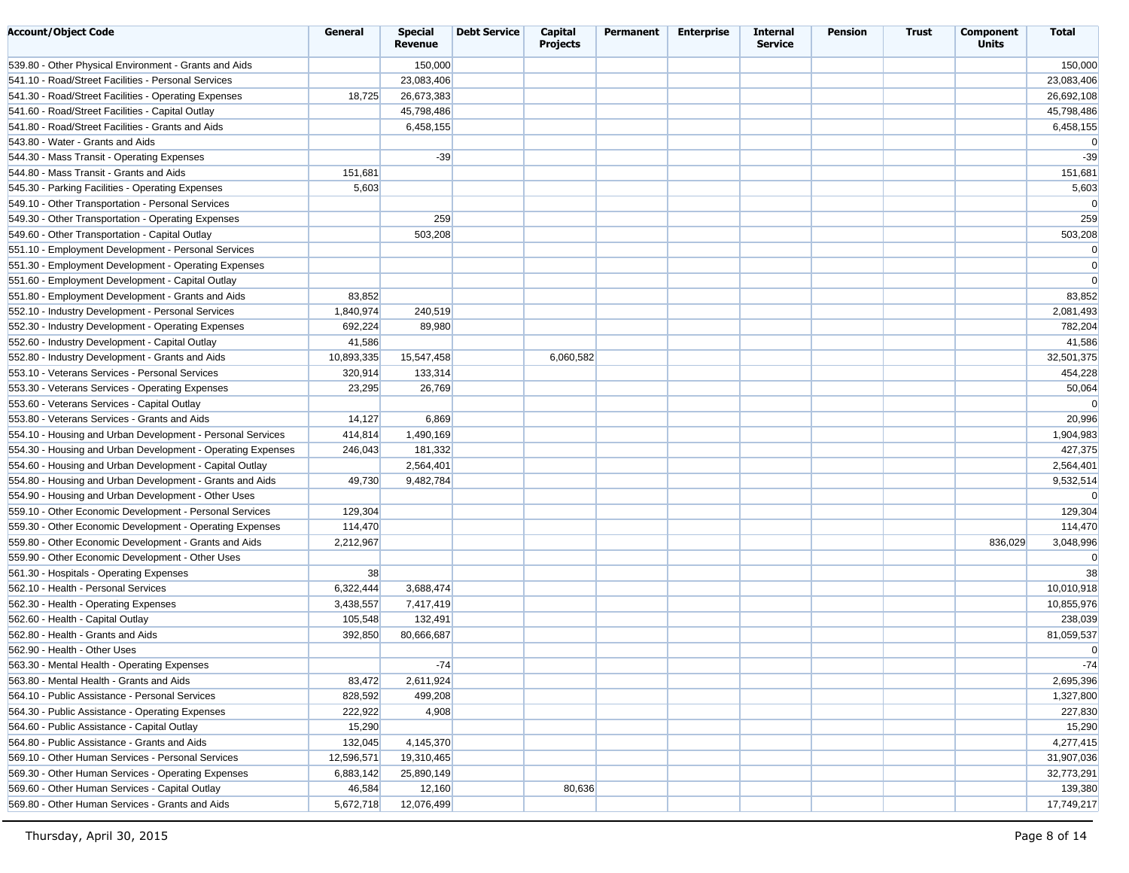| <b>Account/Object Code</b>                                  | General    | <b>Special</b><br><b>Revenue</b> | <b>Debt Service</b> | Capital<br><b>Projects</b> | Permanent | <b>Enterprise</b> | <b>Internal</b><br><b>Service</b> | <b>Pension</b> | <b>Trust</b> | Component<br><b>Units</b> | <b>Total</b>   |
|-------------------------------------------------------------|------------|----------------------------------|---------------------|----------------------------|-----------|-------------------|-----------------------------------|----------------|--------------|---------------------------|----------------|
| 539.80 - Other Physical Environment - Grants and Aids       |            | 150,000                          |                     |                            |           |                   |                                   |                |              |                           | 150,000        |
| 541.10 - Road/Street Facilities - Personal Services         |            | 23,083,406                       |                     |                            |           |                   |                                   |                |              |                           | 23,083,406     |
| 541.30 - Road/Street Facilities - Operating Expenses        | 18,725     | 26,673,383                       |                     |                            |           |                   |                                   |                |              |                           | 26,692,108     |
| 541.60 - Road/Street Facilities - Capital Outlay            |            | 45,798,486                       |                     |                            |           |                   |                                   |                |              |                           | 45,798,486     |
| 541.80 - Road/Street Facilities - Grants and Aids           |            | 6,458,155                        |                     |                            |           |                   |                                   |                |              |                           | 6,458,155      |
| 543.80 - Water - Grants and Aids                            |            |                                  |                     |                            |           |                   |                                   |                |              |                           | $\overline{0}$ |
| 544.30 - Mass Transit - Operating Expenses                  |            | $-39$                            |                     |                            |           |                   |                                   |                |              |                           | $-39$          |
| 544.80 - Mass Transit - Grants and Aids                     | 151,681    |                                  |                     |                            |           |                   |                                   |                |              |                           | 151,681        |
| 545.30 - Parking Facilities - Operating Expenses            | 5,603      |                                  |                     |                            |           |                   |                                   |                |              |                           | 5,603          |
| 549.10 - Other Transportation - Personal Services           |            |                                  |                     |                            |           |                   |                                   |                |              |                           | $\overline{0}$ |
| 549.30 - Other Transportation - Operating Expenses          |            | 259                              |                     |                            |           |                   |                                   |                |              |                           | 259            |
| 549.60 - Other Transportation - Capital Outlay              |            | 503,208                          |                     |                            |           |                   |                                   |                |              |                           | 503,208        |
| 551.10 - Employment Development - Personal Services         |            |                                  |                     |                            |           |                   |                                   |                |              |                           | $\overline{0}$ |
| 551.30 - Employment Development - Operating Expenses        |            |                                  |                     |                            |           |                   |                                   |                |              |                           | $\overline{0}$ |
| 551.60 - Employment Development - Capital Outlay            |            |                                  |                     |                            |           |                   |                                   |                |              |                           | $\overline{0}$ |
| 551.80 - Employment Development - Grants and Aids           | 83,852     |                                  |                     |                            |           |                   |                                   |                |              |                           | 83,852         |
| 552.10 - Industry Development - Personal Services           | 1,840,974  | 240,519                          |                     |                            |           |                   |                                   |                |              |                           | 2,081,493      |
| 552.30 - Industry Development - Operating Expenses          | 692,224    | 89,980                           |                     |                            |           |                   |                                   |                |              |                           | 782,204        |
| 552.60 - Industry Development - Capital Outlay              | 41,586     |                                  |                     |                            |           |                   |                                   |                |              |                           | 41,586         |
| 552.80 - Industry Development - Grants and Aids             | 10,893,335 | 15,547,458                       |                     | 6.060.582                  |           |                   |                                   |                |              |                           | 32,501,375     |
| 553.10 - Veterans Services - Personal Services              | 320,914    | 133,314                          |                     |                            |           |                   |                                   |                |              |                           | 454,228        |
| 553.30 - Veterans Services - Operating Expenses             | 23,295     | 26,769                           |                     |                            |           |                   |                                   |                |              |                           | 50,064         |
| 553.60 - Veterans Services - Capital Outlay                 |            |                                  |                     |                            |           |                   |                                   |                |              |                           | $\Omega$       |
| 553.80 - Veterans Services - Grants and Aids                | 14,127     | 6,869                            |                     |                            |           |                   |                                   |                |              |                           | 20,996         |
| 554.10 - Housing and Urban Development - Personal Services  | 414,814    | 1,490,169                        |                     |                            |           |                   |                                   |                |              |                           | 1,904,983      |
| 554.30 - Housing and Urban Development - Operating Expenses | 246,043    | 181,332                          |                     |                            |           |                   |                                   |                |              |                           | 427,375        |
| 554.60 - Housing and Urban Development - Capital Outlay     |            | 2,564,401                        |                     |                            |           |                   |                                   |                |              |                           | 2,564,401      |
| 554.80 - Housing and Urban Development - Grants and Aids    | 49,730     | 9,482,784                        |                     |                            |           |                   |                                   |                |              |                           | 9,532,514      |
| 554.90 - Housing and Urban Development - Other Uses         |            |                                  |                     |                            |           |                   |                                   |                |              |                           | $\overline{0}$ |
| 559.10 - Other Economic Development - Personal Services     | 129,304    |                                  |                     |                            |           |                   |                                   |                |              |                           | 129,304        |
| 559.30 - Other Economic Development - Operating Expenses    | 114,470    |                                  |                     |                            |           |                   |                                   |                |              |                           | 114,470        |
| 559.80 - Other Economic Development - Grants and Aids       | 2,212,967  |                                  |                     |                            |           |                   |                                   |                |              | 836,029                   | 3,048,996      |
| 559.90 - Other Economic Development - Other Uses            |            |                                  |                     |                            |           |                   |                                   |                |              |                           | $\Omega$       |
| 561.30 - Hospitals - Operating Expenses                     | 38         |                                  |                     |                            |           |                   |                                   |                |              |                           | 38             |
| 562.10 - Health - Personal Services                         | 6,322,444  | 3,688,474                        |                     |                            |           |                   |                                   |                |              |                           | 10,010,918     |
| 562.30 - Health - Operating Expenses                        | 3,438,557  | 7,417,419                        |                     |                            |           |                   |                                   |                |              |                           | 10,855,976     |
| 562.60 - Health - Capital Outlay                            | 105,548    | 132,491                          |                     |                            |           |                   |                                   |                |              |                           | 238,039        |
| 562.80 - Health - Grants and Aids                           | 392,850    | 80,666,687                       |                     |                            |           |                   |                                   |                |              |                           | 81,059,537     |
| 562.90 - Health - Other Uses                                |            |                                  |                     |                            |           |                   |                                   |                |              |                           | $\overline{0}$ |
| 563.30 - Mental Health - Operating Expenses                 |            | $-74$                            |                     |                            |           |                   |                                   |                |              |                           | $-74$          |
| 563.80 - Mental Health - Grants and Aids                    | 83,472     | 2,611,924                        |                     |                            |           |                   |                                   |                |              |                           | 2,695,396      |
| 564.10 - Public Assistance - Personal Services              | 828,592    | 499,208                          |                     |                            |           |                   |                                   |                |              |                           | 1,327,800      |
| 564.30 - Public Assistance - Operating Expenses             | 222,922    | 4,908                            |                     |                            |           |                   |                                   |                |              |                           | 227,830        |
| 564.60 - Public Assistance - Capital Outlay                 | 15,290     |                                  |                     |                            |           |                   |                                   |                |              |                           | 15,290         |
| 564.80 - Public Assistance - Grants and Aids                | 132,045    | 4,145,370                        |                     |                            |           |                   |                                   |                |              |                           | 4,277,415      |
| 569.10 - Other Human Services - Personal Services           | 12,596,571 | 19,310,465                       |                     |                            |           |                   |                                   |                |              |                           | 31,907,036     |
| 569.30 - Other Human Services - Operating Expenses          | 6,883,142  | 25,890,149                       |                     |                            |           |                   |                                   |                |              |                           | 32,773,291     |
| 569.60 - Other Human Services - Capital Outlay              | 46,584     | 12,160                           |                     | 80,636                     |           |                   |                                   |                |              |                           | 139,380        |
| 569.80 - Other Human Services - Grants and Aids             | 5,672,718  | 12,076,499                       |                     |                            |           |                   |                                   |                |              |                           | 17,749,217     |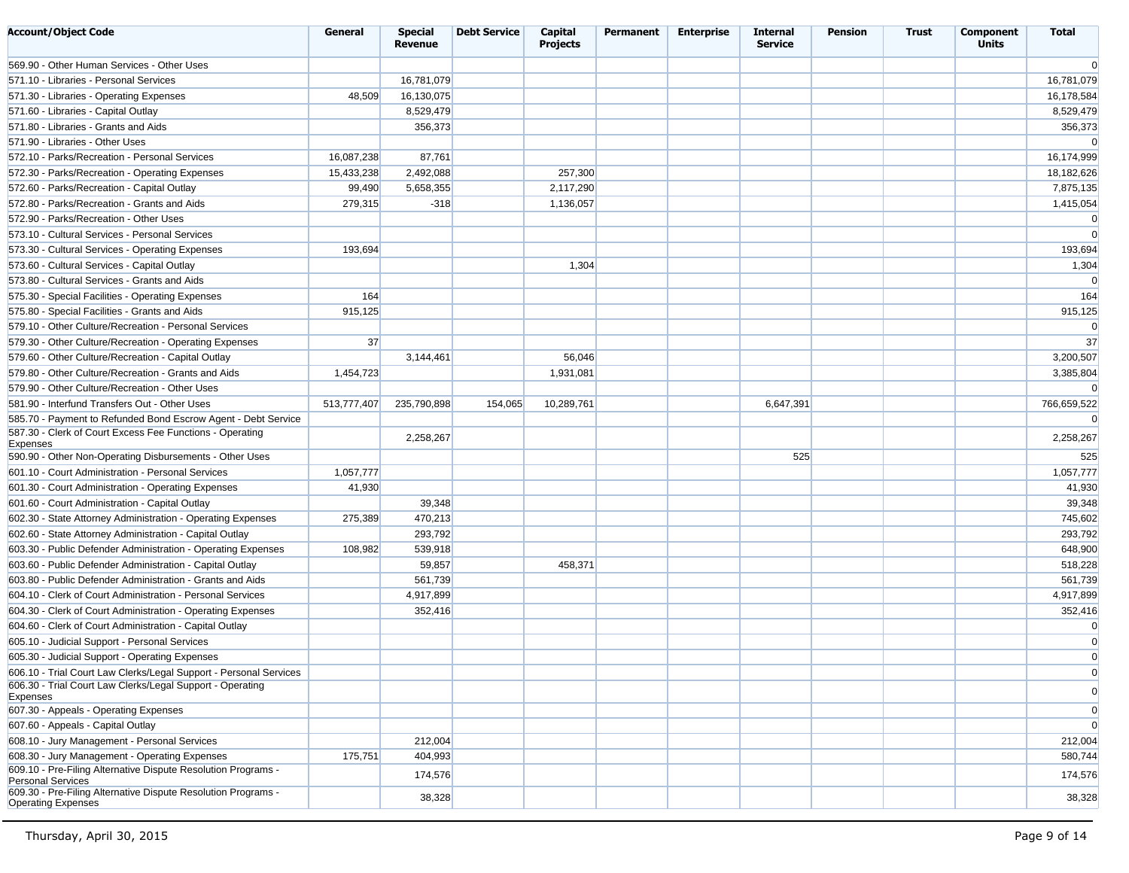| Account/Object Code                                                                        | General     | <b>Special</b><br><b>Revenue</b> | <b>Debt Service</b> | Capital<br><b>Projects</b> | Permanent | <b>Enterprise</b> | <b>Internal</b><br><b>Service</b> | <b>Pension</b> | <b>Trust</b> | Component<br><b>Units</b> | <b>Total</b>   |
|--------------------------------------------------------------------------------------------|-------------|----------------------------------|---------------------|----------------------------|-----------|-------------------|-----------------------------------|----------------|--------------|---------------------------|----------------|
| 569.90 - Other Human Services - Other Uses                                                 |             |                                  |                     |                            |           |                   |                                   |                |              |                           | $\overline{0}$ |
| 571.10 - Libraries - Personal Services                                                     |             | 16,781,079                       |                     |                            |           |                   |                                   |                |              |                           | 16,781,079     |
| 571.30 - Libraries - Operating Expenses                                                    | 48,509      | 16,130,075                       |                     |                            |           |                   |                                   |                |              |                           | 16,178,584     |
| 571.60 - Libraries - Capital Outlay                                                        |             | 8,529,479                        |                     |                            |           |                   |                                   |                |              |                           | 8,529,479      |
| 571.80 - Libraries - Grants and Aids                                                       |             | 356,373                          |                     |                            |           |                   |                                   |                |              |                           | 356,373        |
| 571.90 - Libraries - Other Uses                                                            |             |                                  |                     |                            |           |                   |                                   |                |              |                           | $\overline{0}$ |
| 572.10 - Parks/Recreation - Personal Services                                              | 16,087,238  | 87,761                           |                     |                            |           |                   |                                   |                |              |                           | 16,174,999     |
| 572.30 - Parks/Recreation - Operating Expenses                                             | 15,433,238  | 2,492,088                        |                     | 257,300                    |           |                   |                                   |                |              |                           | 18,182,626     |
| 572.60 - Parks/Recreation - Capital Outlay                                                 | 99,490      | 5,658,355                        |                     | 2,117,290                  |           |                   |                                   |                |              |                           | 7,875,135      |
| 572.80 - Parks/Recreation - Grants and Aids                                                | 279,315     | $-318$                           |                     | 1,136,057                  |           |                   |                                   |                |              |                           | 1,415,054      |
| 572.90 - Parks/Recreation - Other Uses                                                     |             |                                  |                     |                            |           |                   |                                   |                |              |                           | $\overline{0}$ |
| 573.10 - Cultural Services - Personal Services                                             |             |                                  |                     |                            |           |                   |                                   |                |              |                           | $\overline{0}$ |
| 573.30 - Cultural Services - Operating Expenses                                            | 193,694     |                                  |                     |                            |           |                   |                                   |                |              |                           | 193,694        |
| 573.60 - Cultural Services - Capital Outlay                                                |             |                                  |                     | 1,304                      |           |                   |                                   |                |              |                           | 1,304          |
| 573.80 - Cultural Services - Grants and Aids                                               |             |                                  |                     |                            |           |                   |                                   |                |              |                           | $\overline{0}$ |
| 575.30 - Special Facilities - Operating Expenses                                           | 164         |                                  |                     |                            |           |                   |                                   |                |              |                           | 164            |
| 575.80 - Special Facilities - Grants and Aids                                              | 915,125     |                                  |                     |                            |           |                   |                                   |                |              |                           | 915,125        |
| 579.10 - Other Culture/Recreation - Personal Services                                      |             |                                  |                     |                            |           |                   |                                   |                |              |                           | $\overline{0}$ |
| 579.30 - Other Culture/Recreation - Operating Expenses                                     | 37          |                                  |                     |                            |           |                   |                                   |                |              |                           | 37             |
| 579.60 - Other Culture/Recreation - Capital Outlay                                         |             | 3,144,461                        |                     | 56,046                     |           |                   |                                   |                |              |                           | 3,200,507      |
| 579.80 - Other Culture/Recreation - Grants and Aids                                        | 1,454,723   |                                  |                     | 1,931,081                  |           |                   |                                   |                |              |                           | 3,385,804      |
| 579.90 - Other Culture/Recreation - Other Uses                                             |             |                                  |                     |                            |           |                   |                                   |                |              |                           | $\overline{0}$ |
| 581.90 - Interfund Transfers Out - Other Uses                                              | 513,777,407 | 235,790,898                      | 154,065             | 10,289,761                 |           |                   | 6,647,391                         |                |              |                           | 766,659,522    |
| 585.70 - Payment to Refunded Bond Escrow Agent - Debt Service                              |             |                                  |                     |                            |           |                   |                                   |                |              |                           | $\overline{0}$ |
| 587.30 - Clerk of Court Excess Fee Functions - Operating<br><b>Expenses</b>                |             | 2,258,267                        |                     |                            |           |                   |                                   |                |              |                           | 2,258,267      |
| 590.90 - Other Non-Operating Disbursements - Other Uses                                    |             |                                  |                     |                            |           |                   | 525                               |                |              |                           | 525            |
| 601.10 - Court Administration - Personal Services                                          | 1,057,777   |                                  |                     |                            |           |                   |                                   |                |              |                           | 1,057,777      |
| 601.30 - Court Administration - Operating Expenses                                         | 41,930      |                                  |                     |                            |           |                   |                                   |                |              |                           | 41,930         |
| 601.60 - Court Administration - Capital Outlay                                             |             | 39,348                           |                     |                            |           |                   |                                   |                |              |                           | 39,348         |
| 602.30 - State Attorney Administration - Operating Expenses                                | 275,389     | 470,213                          |                     |                            |           |                   |                                   |                |              |                           | 745,602        |
| 602.60 - State Attorney Administration - Capital Outlay                                    |             | 293,792                          |                     |                            |           |                   |                                   |                |              |                           | 293,792        |
| 603.30 - Public Defender Administration - Operating Expenses                               | 108,982     | 539,918                          |                     |                            |           |                   |                                   |                |              |                           | 648,900        |
| 603.60 - Public Defender Administration - Capital Outlay                                   |             | 59,857                           |                     | 458,371                    |           |                   |                                   |                |              |                           | 518,228        |
| 603.80 - Public Defender Administration - Grants and Aids                                  |             | 561,739                          |                     |                            |           |                   |                                   |                |              |                           | 561,739        |
| 604.10 - Clerk of Court Administration - Personal Services                                 |             | 4,917,899                        |                     |                            |           |                   |                                   |                |              |                           | 4,917,899      |
| 604.30 - Clerk of Court Administration - Operating Expenses                                |             | 352,416                          |                     |                            |           |                   |                                   |                |              |                           | 352,416        |
| 604.60 - Clerk of Court Administration - Capital Outlay                                    |             |                                  |                     |                            |           |                   |                                   |                |              |                           | $\overline{0}$ |
| 605.10 - Judicial Support - Personal Services                                              |             |                                  |                     |                            |           |                   |                                   |                |              |                           | $\overline{0}$ |
| 605.30 - Judicial Support - Operating Expenses                                             |             |                                  |                     |                            |           |                   |                                   |                |              |                           | $\overline{0}$ |
| 606.10 - Trial Court Law Clerks/Legal Support - Personal Services                          |             |                                  |                     |                            |           |                   |                                   |                |              |                           | $\overline{0}$ |
| 606.30 - Trial Court Law Clerks/Legal Support - Operating<br><b>Expenses</b>               |             |                                  |                     |                            |           |                   |                                   |                |              |                           | $\overline{0}$ |
| 607.30 - Appeals - Operating Expenses                                                      |             |                                  |                     |                            |           |                   |                                   |                |              |                           | $\overline{0}$ |
| 607.60 - Appeals - Capital Outlay                                                          |             |                                  |                     |                            |           |                   |                                   |                |              |                           | $\overline{0}$ |
| 608.10 - Jury Management - Personal Services                                               |             | 212,004                          |                     |                            |           |                   |                                   |                |              |                           | 212,004        |
| 608.30 - Jury Management - Operating Expenses                                              | 175,751     | 404,993                          |                     |                            |           |                   |                                   |                |              |                           | 580,744        |
| 609.10 - Pre-Filing Alternative Dispute Resolution Programs -<br><b>Personal Services</b>  |             | 174,576                          |                     |                            |           |                   |                                   |                |              |                           | 174,576        |
| 609.30 - Pre-Filing Alternative Dispute Resolution Programs -<br><b>Operating Expenses</b> |             | 38,328                           |                     |                            |           |                   |                                   |                |              |                           | 38,328         |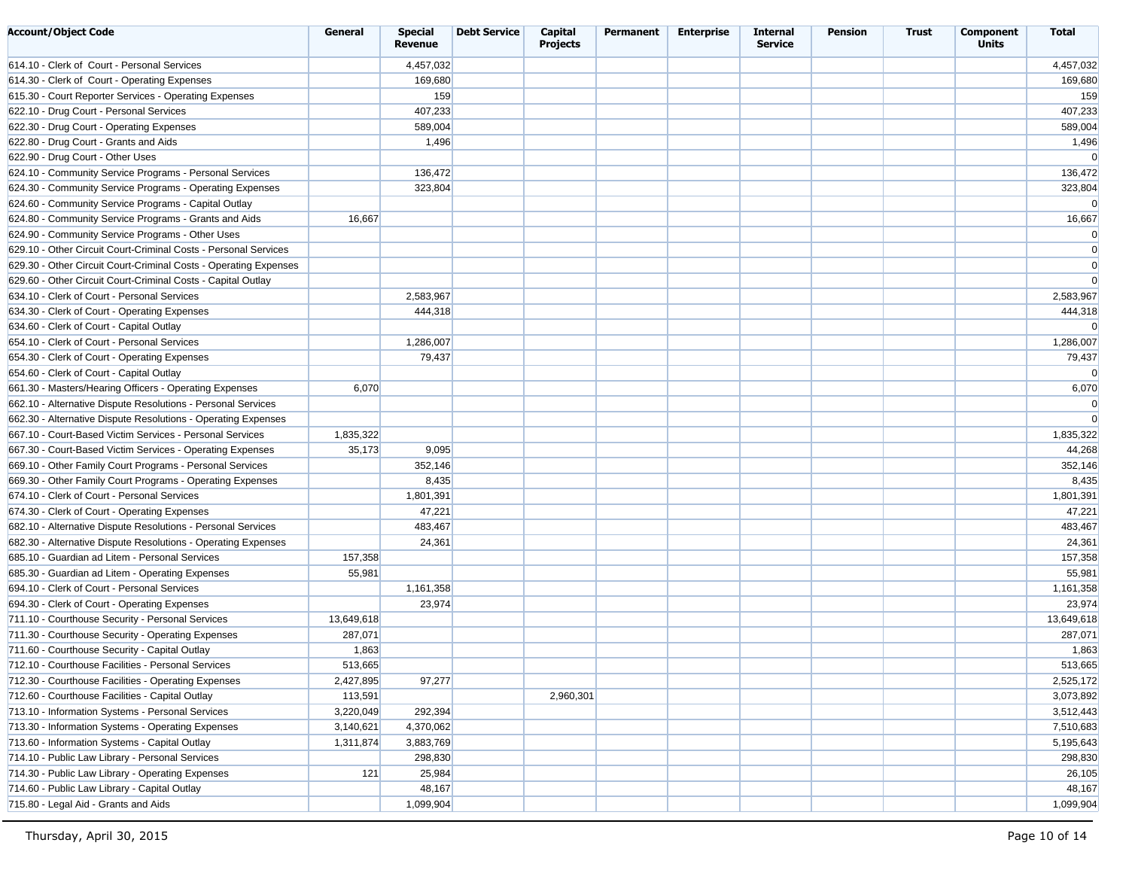| <b>Account/Object Code</b>                                                                             | General              | <b>Special</b><br>Revenue | <b>Debt Service</b> | Capital<br><b>Projects</b> | Permanent | <b>Enterprise</b> | <b>Internal</b><br><b>Service</b> | <b>Pension</b> | <b>Trust</b> | Component<br><b>Units</b> | <b>Total</b>           |
|--------------------------------------------------------------------------------------------------------|----------------------|---------------------------|---------------------|----------------------------|-----------|-------------------|-----------------------------------|----------------|--------------|---------------------------|------------------------|
| 614.10 - Clerk of Court - Personal Services                                                            |                      | 4,457,032                 |                     |                            |           |                   |                                   |                |              |                           | 4,457,032              |
| 614.30 - Clerk of Court - Operating Expenses                                                           |                      | 169,680                   |                     |                            |           |                   |                                   |                |              |                           | 169,680                |
| 615.30 - Court Reporter Services - Operating Expenses                                                  |                      | 159                       |                     |                            |           |                   |                                   |                |              |                           | 159                    |
| 622.10 - Drug Court - Personal Services                                                                |                      | 407,233                   |                     |                            |           |                   |                                   |                |              |                           | 407,233                |
| 622.30 - Drug Court - Operating Expenses                                                               |                      | 589,004                   |                     |                            |           |                   |                                   |                |              |                           | 589,004                |
| 622.80 - Drug Court - Grants and Aids                                                                  |                      | 1,496                     |                     |                            |           |                   |                                   |                |              |                           | 1,496                  |
| 622.90 - Drug Court - Other Uses                                                                       |                      |                           |                     |                            |           |                   |                                   |                |              |                           | $\overline{0}$         |
| 624.10 - Community Service Programs - Personal Services                                                |                      | 136,472                   |                     |                            |           |                   |                                   |                |              |                           | 136,472                |
| 624.30 - Community Service Programs - Operating Expenses                                               |                      | 323,804                   |                     |                            |           |                   |                                   |                |              |                           | 323,804                |
| 624.60 - Community Service Programs - Capital Outlay                                                   |                      |                           |                     |                            |           |                   |                                   |                |              |                           | $\Omega$               |
| 624.80 - Community Service Programs - Grants and Aids                                                  | 16,667               |                           |                     |                            |           |                   |                                   |                |              |                           | 16,667                 |
| 624.90 - Community Service Programs - Other Uses                                                       |                      |                           |                     |                            |           |                   |                                   |                |              |                           | $\overline{0}$         |
| 629.10 - Other Circuit Court-Criminal Costs - Personal Services                                        |                      |                           |                     |                            |           |                   |                                   |                |              |                           | $\overline{0}$         |
| 629.30 - Other Circuit Court-Criminal Costs - Operating Expenses                                       |                      |                           |                     |                            |           |                   |                                   |                |              |                           | $\overline{0}$         |
| 629.60 - Other Circuit Court-Criminal Costs - Capital Outlay                                           |                      |                           |                     |                            |           |                   |                                   |                |              |                           | $\Omega$               |
| 634.10 - Clerk of Court - Personal Services                                                            |                      | 2,583,967                 |                     |                            |           |                   |                                   |                |              |                           | 2,583,967              |
| 634.30 - Clerk of Court - Operating Expenses                                                           |                      | 444,318                   |                     |                            |           |                   |                                   |                |              |                           | 444,318                |
| 634.60 - Clerk of Court - Capital Outlay                                                               |                      |                           |                     |                            |           |                   |                                   |                |              |                           | $\overline{0}$         |
| 654.10 - Clerk of Court - Personal Services                                                            |                      | 1,286,007                 |                     |                            |           |                   |                                   |                |              |                           | 1,286,007              |
| 654.30 - Clerk of Court - Operating Expenses                                                           |                      | 79,437                    |                     |                            |           |                   |                                   |                |              |                           | 79,437                 |
| 654.60 - Clerk of Court - Capital Outlay                                                               |                      |                           |                     |                            |           |                   |                                   |                |              |                           | $\overline{0}$         |
| 661.30 - Masters/Hearing Officers - Operating Expenses                                                 | 6,070                |                           |                     |                            |           |                   |                                   |                |              |                           | 6,070                  |
| 662.10 - Alternative Dispute Resolutions - Personal Services                                           |                      |                           |                     |                            |           |                   |                                   |                |              |                           | $\overline{0}$         |
| 662.30 - Alternative Dispute Resolutions - Operating Expenses                                          |                      |                           |                     |                            |           |                   |                                   |                |              |                           | $\overline{0}$         |
| 667.10 - Court-Based Victim Services - Personal Services                                               | 1,835,322            |                           |                     |                            |           |                   |                                   |                |              |                           | 1,835,322              |
| 667.30 - Court-Based Victim Services - Operating Expenses                                              | 35,173               | 9,095                     |                     |                            |           |                   |                                   |                |              |                           | 44,268                 |
| 669.10 - Other Family Court Programs - Personal Services                                               |                      | 352,146                   |                     |                            |           |                   |                                   |                |              |                           | 352,146                |
| 669.30 - Other Family Court Programs - Operating Expenses                                              |                      | 8,435                     |                     |                            |           |                   |                                   |                |              |                           | 8,435                  |
| 674.10 - Clerk of Court - Personal Services                                                            |                      | 1,801,391                 |                     |                            |           |                   |                                   |                |              |                           | 1,801,391              |
| 674.30 - Clerk of Court - Operating Expenses                                                           |                      | 47,221                    |                     |                            |           |                   |                                   |                |              |                           | 47,221                 |
| 682.10 - Alternative Dispute Resolutions - Personal Services                                           |                      | 483,467                   |                     |                            |           |                   |                                   |                |              |                           | 483,467                |
| 682.30 - Alternative Dispute Resolutions - Operating Expenses                                          |                      | 24,361                    |                     |                            |           |                   |                                   |                |              |                           | 24,361                 |
| 685.10 - Guardian ad Litem - Personal Services                                                         | 157,358              |                           |                     |                            |           |                   |                                   |                |              |                           | 157,358                |
| 685.30 - Guardian ad Litem - Operating Expenses                                                        | 55,981               |                           |                     |                            |           |                   |                                   |                |              |                           | 55,981                 |
| 694.10 - Clerk of Court - Personal Services                                                            |                      | 1,161,358                 |                     |                            |           |                   |                                   |                |              |                           | 1,161,358              |
| 694.30 - Clerk of Court - Operating Expenses                                                           |                      | 23,974                    |                     |                            |           |                   |                                   |                |              |                           | 23,974                 |
| 711.10 - Courthouse Security - Personal Services                                                       | 13,649,618           |                           |                     |                            |           |                   |                                   |                |              |                           | 13,649,618             |
|                                                                                                        |                      |                           |                     |                            |           |                   |                                   |                |              |                           |                        |
| 711.30 - Courthouse Security - Operating Expenses                                                      | 287,071              |                           |                     |                            |           |                   |                                   |                |              |                           | 287,071                |
| 711.60 - Courthouse Security - Capital Outlay                                                          | 1,863                |                           |                     |                            |           |                   |                                   |                |              |                           | 1,863                  |
| 712.10 - Courthouse Facilities - Personal Services                                                     | 513,665              | 97,277                    |                     |                            |           |                   |                                   |                |              |                           | 513,665<br>2,525,172   |
| 712.30 - Courthouse Facilities - Operating Expenses<br>712.60 - Courthouse Facilities - Capital Outlay | 2,427,895            |                           |                     |                            |           |                   |                                   |                |              |                           |                        |
| 713.10 - Information Systems - Personal Services                                                       | 113,591<br>3,220,049 | 292,394                   |                     | 2,960,301                  |           |                   |                                   |                |              |                           | 3,073,892<br>3,512,443 |
|                                                                                                        |                      |                           |                     |                            |           |                   |                                   |                |              |                           |                        |
| 713.30 - Information Systems - Operating Expenses                                                      | 3,140,621            | 4,370,062                 |                     |                            |           |                   |                                   |                |              |                           | 7,510,683              |
| 713.60 - Information Systems - Capital Outlay                                                          | 1,311,874            | 3,883,769                 |                     |                            |           |                   |                                   |                |              |                           | 5,195,643              |
| 714.10 - Public Law Library - Personal Services                                                        |                      | 298,830                   |                     |                            |           |                   |                                   |                |              |                           | 298,830                |
| 714.30 - Public Law Library - Operating Expenses                                                       | 121                  | 25,984                    |                     |                            |           |                   |                                   |                |              |                           | 26,105                 |
| 714.60 - Public Law Library - Capital Outlay                                                           |                      | 48,167                    |                     |                            |           |                   |                                   |                |              |                           | 48,167                 |
| 715.80 - Legal Aid - Grants and Aids                                                                   |                      | 1,099,904                 |                     |                            |           |                   |                                   |                |              |                           | 1,099,904              |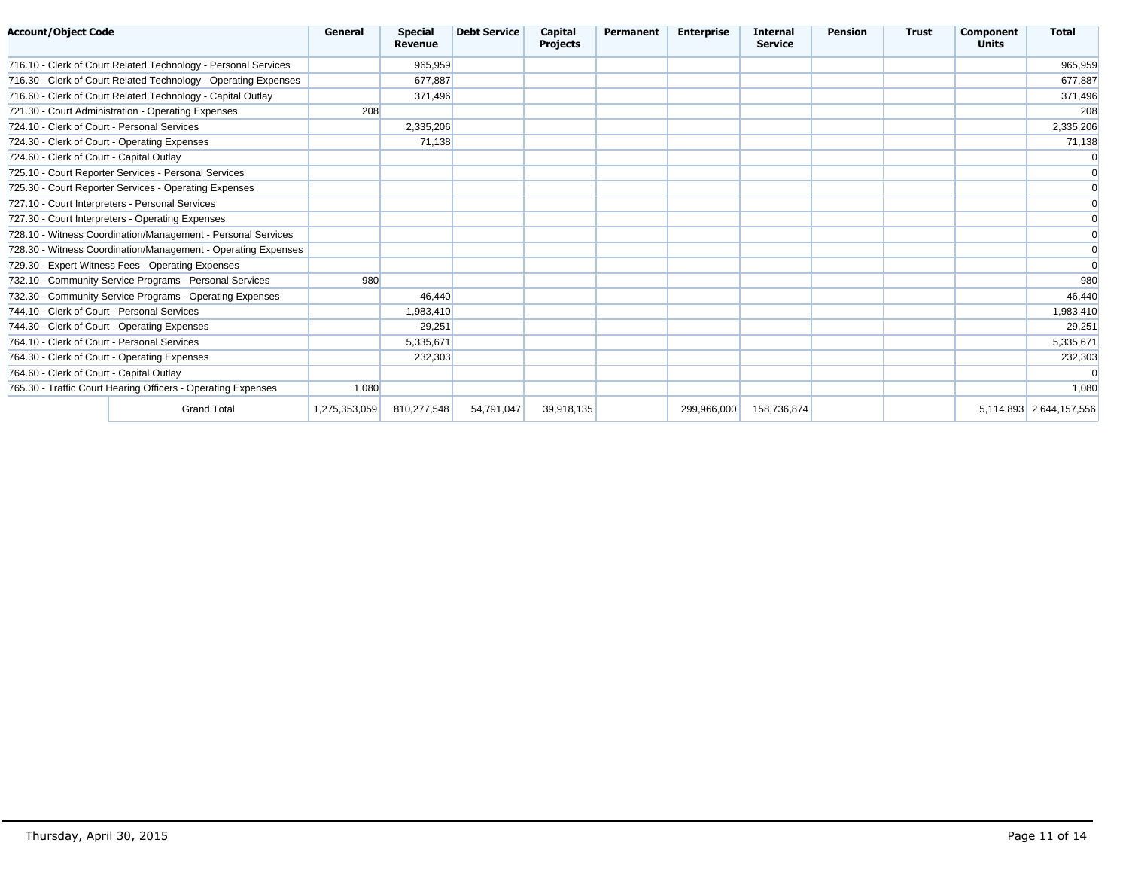| <b>Account/Object Code</b>                   |                                                                 | General       | <b>Special</b><br><b>Revenue</b> | <b>Debt Service</b> | Capital<br><b>Projects</b> | Permanent | <b>Enterprise</b> | <b>Internal</b><br><b>Service</b> | <b>Pension</b> | <b>Trust</b> | <b>Component</b><br><b>Units</b> | <b>Total</b>            |
|----------------------------------------------|-----------------------------------------------------------------|---------------|----------------------------------|---------------------|----------------------------|-----------|-------------------|-----------------------------------|----------------|--------------|----------------------------------|-------------------------|
|                                              | 716.10 - Clerk of Court Related Technology - Personal Services  |               | 965,959                          |                     |                            |           |                   |                                   |                |              |                                  | 965,959                 |
|                                              | 716.30 - Clerk of Court Related Technology - Operating Expenses |               | 677,887                          |                     |                            |           |                   |                                   |                |              |                                  | 677,887                 |
|                                              | 716.60 - Clerk of Court Related Technology - Capital Outlay     |               | 371,496                          |                     |                            |           |                   |                                   |                |              |                                  | 371,496                 |
|                                              | 721.30 - Court Administration - Operating Expenses              | 208           |                                  |                     |                            |           |                   |                                   |                |              |                                  | 208                     |
| 724.10 - Clerk of Court - Personal Services  |                                                                 |               | 2,335,206                        |                     |                            |           |                   |                                   |                |              |                                  | 2,335,206               |
| 724.30 - Clerk of Court - Operating Expenses |                                                                 |               | 71,138                           |                     |                            |           |                   |                                   |                |              |                                  | 71,138                  |
| 724.60 - Clerk of Court - Capital Outlay     |                                                                 |               |                                  |                     |                            |           |                   |                                   |                |              |                                  | $\Omega$                |
|                                              | 725.10 - Court Reporter Services - Personal Services            |               |                                  |                     |                            |           |                   |                                   |                |              |                                  | $\overline{0}$          |
|                                              | 725.30 - Court Reporter Services - Operating Expenses           |               |                                  |                     |                            |           |                   |                                   |                |              |                                  | $\overline{0}$          |
|                                              | 727.10 - Court Interpreters - Personal Services                 |               |                                  |                     |                            |           |                   |                                   |                |              |                                  | $\overline{0}$          |
|                                              | 727.30 - Court Interpreters - Operating Expenses                |               |                                  |                     |                            |           |                   |                                   |                |              |                                  | $\overline{0}$          |
|                                              | 728.10 - Witness Coordination/Management - Personal Services    |               |                                  |                     |                            |           |                   |                                   |                |              |                                  | $\overline{0}$          |
|                                              | 728.30 - Witness Coordination/Management - Operating Expenses   |               |                                  |                     |                            |           |                   |                                   |                |              |                                  | $\overline{0}$          |
|                                              | 729.30 - Expert Witness Fees - Operating Expenses               |               |                                  |                     |                            |           |                   |                                   |                |              |                                  | $\overline{0}$          |
|                                              | 732.10 - Community Service Programs - Personal Services         | 980           |                                  |                     |                            |           |                   |                                   |                |              |                                  | 980                     |
|                                              | 732.30 - Community Service Programs - Operating Expenses        |               | 46,440                           |                     |                            |           |                   |                                   |                |              |                                  | 46,440                  |
| 744.10 - Clerk of Court - Personal Services  |                                                                 |               | 1,983,410                        |                     |                            |           |                   |                                   |                |              |                                  | 1,983,410               |
| 744.30 - Clerk of Court - Operating Expenses |                                                                 |               | 29,251                           |                     |                            |           |                   |                                   |                |              |                                  | 29,251                  |
| 764.10 - Clerk of Court - Personal Services  |                                                                 |               | 5,335,671                        |                     |                            |           |                   |                                   |                |              |                                  | 5,335,671               |
| 764.30 - Clerk of Court - Operating Expenses |                                                                 |               | 232,303                          |                     |                            |           |                   |                                   |                |              |                                  | 232,303                 |
| 764.60 - Clerk of Court - Capital Outlay     |                                                                 |               |                                  |                     |                            |           |                   |                                   |                |              |                                  | $\Omega$                |
|                                              | 765.30 - Traffic Court Hearing Officers - Operating Expenses    | 1,080         |                                  |                     |                            |           |                   |                                   |                |              |                                  | 1,080                   |
|                                              | <b>Grand Total</b>                                              | 1,275,353,059 | 810,277,548                      | 54,791,047          | 39,918,135                 |           | 299,966,000       | 158,736,874                       |                |              |                                  | 5,114,893 2,644,157,556 |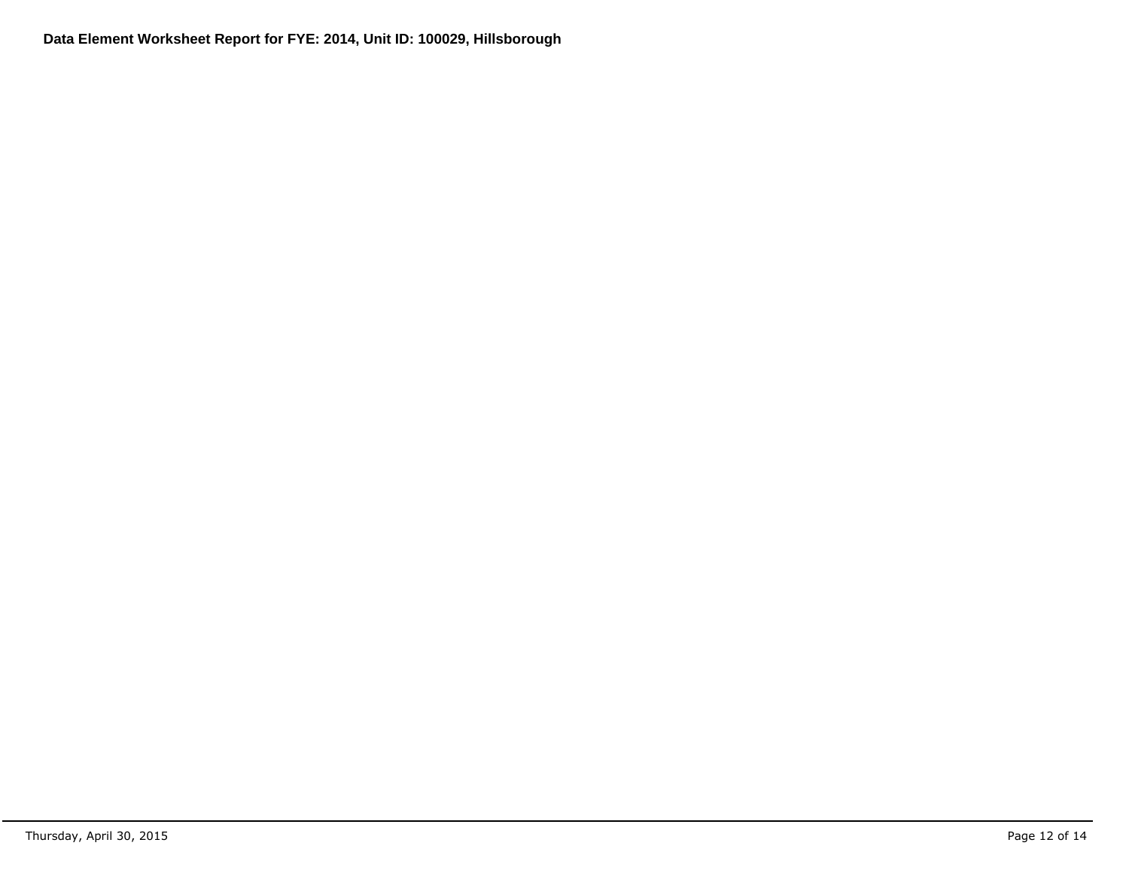**Data Element Worksheet Report for FYE: 2014, Unit ID: 100029, Hillsborough**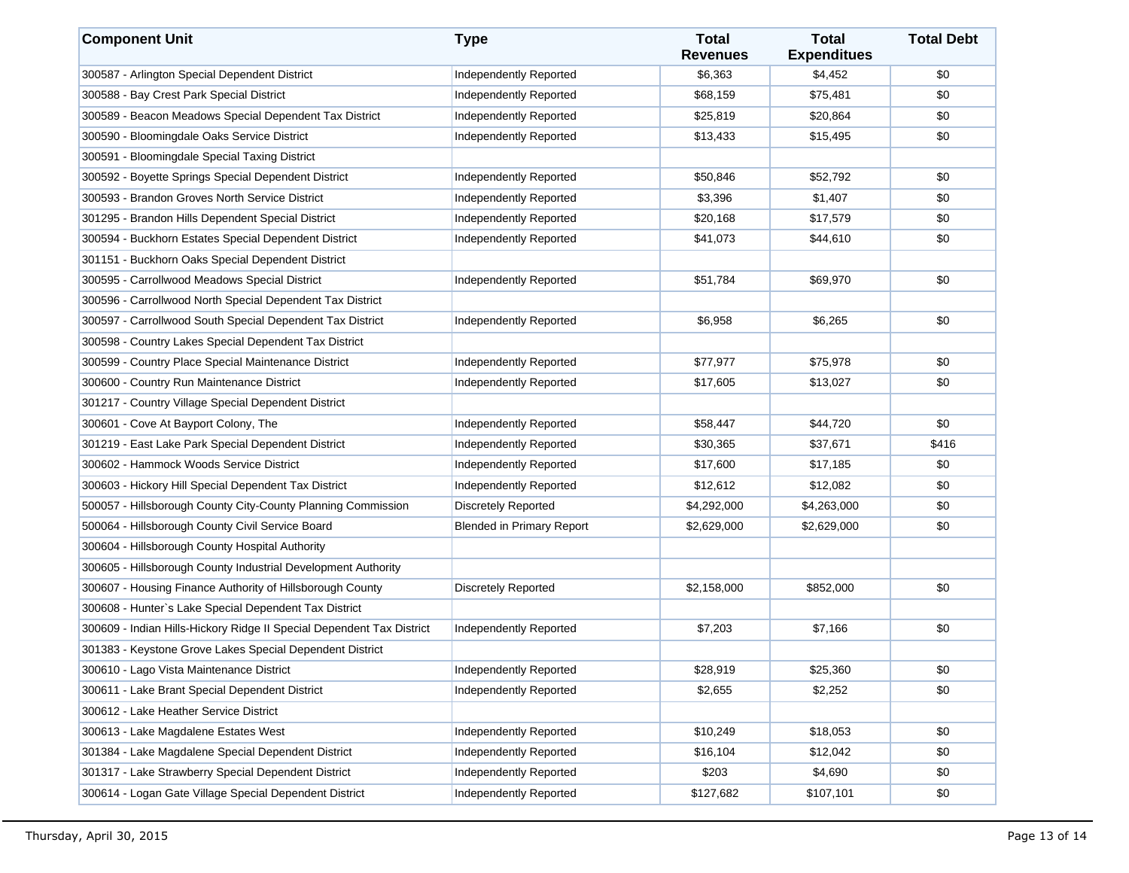| <b>Component Unit</b>                                                 | <b>Type</b>                      | <b>Total</b><br><b>Revenues</b> | <b>Total</b><br><b>Expenditues</b> | <b>Total Debt</b> |
|-----------------------------------------------------------------------|----------------------------------|---------------------------------|------------------------------------|-------------------|
| 300587 - Arlington Special Dependent District                         | <b>Independently Reported</b>    | \$6,363                         | \$4,452                            | \$0               |
| 300588 - Bay Crest Park Special District                              | Independently Reported           | \$68,159                        | \$75,481                           | \$0               |
| 300589 - Beacon Meadows Special Dependent Tax District                | Independently Reported           | \$25,819                        | \$20,864                           | \$0               |
| 300590 - Bloomingdale Oaks Service District                           | Independently Reported           | \$13,433                        | \$15,495                           | \$0               |
| 300591 - Bloomingdale Special Taxing District                         |                                  |                                 |                                    |                   |
| 300592 - Boyette Springs Special Dependent District                   | <b>Independently Reported</b>    | \$50,846                        | \$52,792                           | \$0               |
| 300593 - Brandon Groves North Service District                        | Independently Reported           | \$3,396                         | \$1,407                            | \$0               |
| 301295 - Brandon Hills Dependent Special District                     | Independently Reported           | \$20,168                        | \$17,579                           | \$0               |
| 300594 - Buckhorn Estates Special Dependent District                  | Independently Reported           | \$41,073                        | \$44,610                           | \$0               |
| 301151 - Buckhorn Oaks Special Dependent District                     |                                  |                                 |                                    |                   |
| 300595 - Carrollwood Meadows Special District                         | Independently Reported           | \$51,784                        | \$69,970                           | \$0               |
| 300596 - Carrollwood North Special Dependent Tax District             |                                  |                                 |                                    |                   |
| 300597 - Carrollwood South Special Dependent Tax District             | Independently Reported           | \$6,958                         | \$6,265                            | \$0               |
| 300598 - Country Lakes Special Dependent Tax District                 |                                  |                                 |                                    |                   |
| 300599 - Country Place Special Maintenance District                   | Independently Reported           | \$77,977                        | \$75,978                           | \$0               |
| 300600 - Country Run Maintenance District                             | Independently Reported           | \$17,605                        | \$13,027                           | \$0               |
| 301217 - Country Village Special Dependent District                   |                                  |                                 |                                    |                   |
| 300601 - Cove At Bayport Colony, The                                  | Independently Reported           | \$58,447                        | \$44.720                           | \$0               |
| 301219 - East Lake Park Special Dependent District                    | Independently Reported           | \$30,365                        | \$37,671                           | \$416             |
| 300602 - Hammock Woods Service District                               | Independently Reported           | \$17,600                        | \$17,185                           | \$0               |
| 300603 - Hickory Hill Special Dependent Tax District                  | Independently Reported           | \$12,612                        | \$12,082                           | \$0               |
| 500057 - Hillsborough County City-County Planning Commission          | Discretely Reported              | \$4,292,000                     | \$4,263,000                        | \$0               |
| 500064 - Hillsborough County Civil Service Board                      | <b>Blended in Primary Report</b> | \$2,629,000                     | \$2,629,000                        | \$0               |
| 300604 - Hillsborough County Hospital Authority                       |                                  |                                 |                                    |                   |
| 300605 - Hillsborough County Industrial Development Authority         |                                  |                                 |                                    |                   |
| 300607 - Housing Finance Authority of Hillsborough County             | <b>Discretely Reported</b>       | \$2,158,000                     | \$852,000                          | \$0               |
| 300608 - Hunter's Lake Special Dependent Tax District                 |                                  |                                 |                                    |                   |
| 300609 - Indian Hills-Hickory Ridge II Special Dependent Tax District | Independently Reported           | \$7,203                         | \$7.166                            | \$0               |
| 301383 - Keystone Grove Lakes Special Dependent District              |                                  |                                 |                                    |                   |
| 300610 - Lago Vista Maintenance District                              | Independently Reported           | \$28,919                        | \$25,360                           | \$0               |
| 300611 - Lake Brant Special Dependent District                        | Independently Reported           | \$2,655                         | \$2,252                            | \$0               |
| 300612 - Lake Heather Service District                                |                                  |                                 |                                    |                   |
| 300613 - Lake Magdalene Estates West                                  | Independently Reported           | \$10,249                        | \$18,053                           | \$0               |
| 301384 - Lake Magdalene Special Dependent District                    | Independently Reported           | \$16,104                        | \$12,042                           | \$0               |
| 301317 - Lake Strawberry Special Dependent District                   | Independently Reported           | \$203                           | \$4,690                            | \$0               |
| 300614 - Logan Gate Village Special Dependent District                | Independently Reported           | \$127,682                       | \$107,101                          | \$0               |